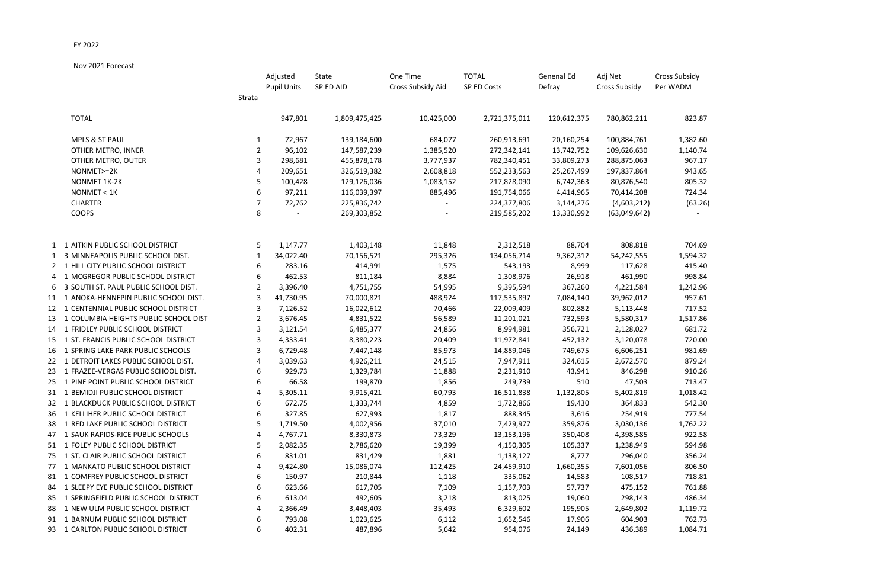## FY 2022

Nov 2021 Forecast

|    |                                          |                | Adjusted           | State         | One Time          | <b>TOTAL</b>  | Genenal Ed  | Adj Net              | <b>Cross Subsidy</b> |
|----|------------------------------------------|----------------|--------------------|---------------|-------------------|---------------|-------------|----------------------|----------------------|
|    |                                          |                | <b>Pupil Units</b> | SP ED AID     | Cross Subsidy Aid | SP ED Costs   | Defray      | <b>Cross Subsidy</b> | Per WADM             |
|    |                                          | Strata         |                    |               |                   |               |             |                      |                      |
|    | <b>TOTAL</b>                             |                | 947,801            | 1,809,475,425 | 10,425,000        | 2,721,375,011 | 120,612,375 | 780,862,211          | 823.87               |
|    | <b>MPLS &amp; ST PAUL</b>                | 1              | 72,967             | 139,184,600   | 684,077           | 260,913,691   | 20,160,254  | 100,884,761          | 1,382.60             |
|    | OTHER METRO, INNER                       | $\overline{2}$ | 96,102             | 147,587,239   | 1,385,520         | 272,342,141   | 13,742,752  | 109,626,630          | 1,140.74             |
|    | OTHER METRO, OUTER                       | 3              | 298,681            | 455,878,178   | 3,777,937         | 782,340,451   | 33,809,273  | 288,875,063          | 967.17               |
|    | NONMET>=2K                               | 4              | 209,651            | 326,519,382   | 2,608,818         | 552,233,563   | 25,267,499  | 197,837,864          | 943.65               |
|    | NONMET 1K-2K                             | 5              | 100,428            | 129,126,036   | 1,083,152         | 217,828,090   | 6,742,363   | 80,876,540           | 805.32               |
|    | NONMET < 1K                              | 6              | 97,211             | 116,039,397   | 885,496           | 191,754,066   | 4,414,965   | 70,414,208           | 724.34               |
|    | <b>CHARTER</b>                           | 7              | 72,762             | 225,836,742   |                   | 224,377,806   | 3,144,276   | (4,603,212)          | (63.26)              |
|    | <b>COOPS</b>                             | 8              |                    | 269,303,852   |                   | 219,585,202   | 13,330,992  | (63,049,642)         |                      |
|    | 1 1 AITKIN PUBLIC SCHOOL DISTRICT        | 5              | 1,147.77           | 1,403,148     | 11,848            | 2,312,518     | 88,704      | 808,818              | 704.69               |
|    | 1 3 MINNEAPOLIS PUBLIC SCHOOL DIST.      | 1              | 34,022.40          | 70,156,521    | 295,326           | 134,056,714   | 9,362,312   | 54,242,555           | 1,594.32             |
|    | 2 1 HILL CITY PUBLIC SCHOOL DISTRICT     | 6              | 283.16             | 414,991       | 1,575             | 543,193       | 8,999       | 117,628              | 415.40               |
|    | 4 1 MCGREGOR PUBLIC SCHOOL DISTRICT      | 6              | 462.53             | 811,184       | 8,884             | 1,308,976     | 26,918      | 461,990              | 998.84               |
|    | 6 3 SOUTH ST. PAUL PUBLIC SCHOOL DIST.   | 2              | 3,396.40           | 4,751,755     | 54,995            | 9,395,594     | 367,260     | 4,221,584            | 1,242.96             |
|    | 11 1 ANOKA-HENNEPIN PUBLIC SCHOOL DIST.  | 3              | 41,730.95          | 70,000,821    | 488,924           | 117,535,897   | 7,084,140   | 39,962,012           | 957.61               |
|    | 12 1 CENTENNIAL PUBLIC SCHOOL DISTRICT   | 3              | 7,126.52           | 16,022,612    | 70,466            | 22,009,409    | 802,882     | 5,113,448            | 717.52               |
|    | 13 1 COLUMBIA HEIGHTS PUBLIC SCHOOL DIST | 2              | 3,676.45           | 4,831,522     | 56,589            | 11,201,021    | 732,593     | 5,580,317            | 1,517.86             |
|    | 14 1 FRIDLEY PUBLIC SCHOOL DISTRICT      | 3              | 3,121.54           | 6,485,377     | 24,856            | 8,994,981     | 356,721     | 2,128,027            | 681.72               |
|    | 15 1 ST. FRANCIS PUBLIC SCHOOL DISTRICT  | 3              | 4,333.41           | 8,380,223     | 20,409            | 11,972,841    | 452,132     | 3,120,078            | 720.00               |
|    | 16 1 SPRING LAKE PARK PUBLIC SCHOOLS     | 3              | 6,729.48           | 7,447,148     | 85,973            | 14,889,046    | 749,675     | 6,606,251            | 981.69               |
|    | 22 1 DETROIT LAKES PUBLIC SCHOOL DIST.   | 4              | 3,039.63           | 4,926,211     | 24,515            | 7,947,911     | 324,615     | 2,672,570            | 879.24               |
| 23 | 1 FRAZEE-VERGAS PUBLIC SCHOOL DIST.      | 6              | 929.73             | 1,329,784     | 11,888            | 2,231,910     | 43,941      | 846,298              | 910.26               |
|    | 25 1 PINE POINT PUBLIC SCHOOL DISTRICT   | 6              | 66.58              | 199,870       | 1,856             | 249,739       | 510         | 47,503               | 713.47               |
|    | 31 1 BEMIDJI PUBLIC SCHOOL DISTRICT      |                | 5,305.11           | 9,915,421     | 60,793            | 16,511,838    | 1,132,805   | 5,402,819            | 1,018.42             |
|    | 32 1 BLACKDUCK PUBLIC SCHOOL DISTRICT    | 6              | 672.75             | 1,333,744     | 4,859             | 1,722,866     | 19,430      | 364,833              | 542.30               |
|    | 36 1 KELLIHER PUBLIC SCHOOL DISTRICT     | 6              | 327.85             | 627,993       | 1,817             | 888,345       | 3,616       | 254,919              | 777.54               |
|    | 38 1 RED LAKE PUBLIC SCHOOL DISTRICT     | 5              | 1,719.50           | 4,002,956     | 37,010            | 7,429,977     | 359,876     | 3,030,136            | 1,762.22             |
|    | 47 1 SAUK RAPIDS-RICE PUBLIC SCHOOLS     |                | 4,767.71           | 8,330,873     | 73,329            | 13,153,196    | 350,408     | 4,398,585            | 922.58               |
|    | 51 1 FOLEY PUBLIC SCHOOL DISTRICT        |                | 2,082.35           | 2,786,620     | 19,399            | 4,150,305     | 105,337     | 1,238,949            | 594.98               |
|    | 75 1 ST. CLAIR PUBLIC SCHOOL DISTRICT    | 6              | 831.01             | 831,429       | 1,881             | 1,138,127     | 8,777       | 296,040              | 356.24               |
| 77 | 1 MANKATO PUBLIC SCHOOL DISTRICT         |                | 9,424.80           | 15,086,074    | 112,425           | 24,459,910    | 1,660,355   | 7,601,056            | 806.50               |
|    | 81 1 COMFREY PUBLIC SCHOOL DISTRICT      | 6              | 150.97             | 210,844       | 1,118             | 335,062       | 14,583      | 108,517              | 718.81               |
|    | 84 1 SLEEPY EYE PUBLIC SCHOOL DISTRICT   | 6              | 623.66             | 617,705       | 7,109             | 1,157,703     | 57,737      | 475,152              | 761.88               |
|    | 85 1 SPRINGFIELD PUBLIC SCHOOL DISTRICT  | 6              | 613.04             | 492,605       | 3,218             | 813,025       | 19,060      | 298,143              | 486.34               |
|    | 88 1 NEW ULM PUBLIC SCHOOL DISTRICT      |                | 2,366.49           | 3,448,403     | 35,493            | 6,329,602     | 195,905     | 2,649,802            | 1,119.72             |
|    | 91 1 BARNUM PUBLIC SCHOOL DISTRICT       | 6              | 793.08             | 1,023,625     | 6,112             | 1,652,546     | 17,906      | 604,903              | 762.73               |
|    | 93 1 CARLTON PUBLIC SCHOOL DISTRICT      | 6              | 402.31             | 487,896       | 5,642             |               |             | 436,389              | 1,084.71             |
|    |                                          |                |                    |               |                   | 954,076       | 24,149      |                      |                      |

Cross Subsidy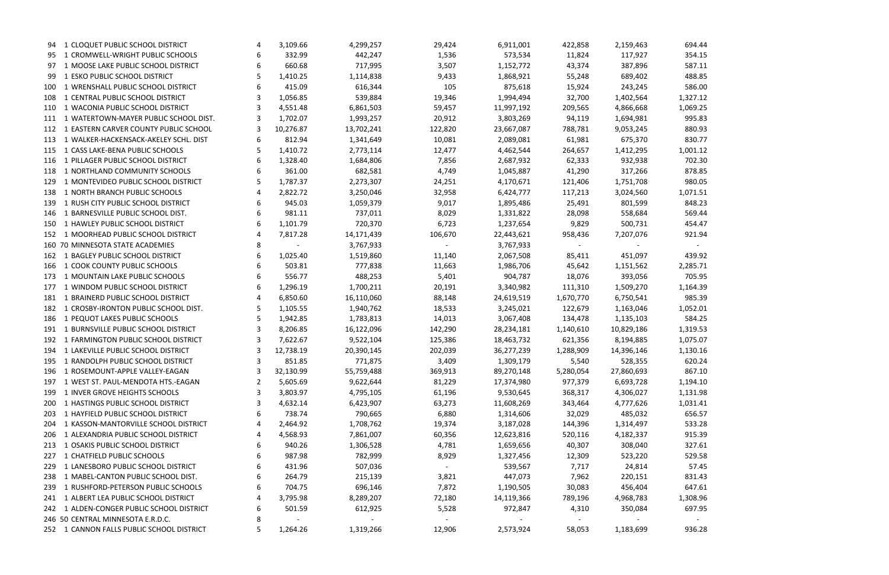|     | 94 1 CLOQUET PUBLIC SCHOOL DISTRICT       |   | 3,109.66  | 4,299,257  | 29,424  | 6,911,001  | 422,858   | 2,159,463  | 694.44             |
|-----|-------------------------------------------|---|-----------|------------|---------|------------|-----------|------------|--------------------|
|     | 95 1 CROMWELL-WRIGHT PUBLIC SCHOOLS       |   | 332.99    | 442,247    | 1,536   | 573,534    | 11,824    | 117,927    | 354.15             |
| 97  | 1 MOOSE LAKE PUBLIC SCHOOL DISTRICT       |   | 660.68    | 717,995    | 3,507   | 1,152,772  | 43,374    | 387,896    | 587.11             |
| 99  | 1 ESKO PUBLIC SCHOOL DISTRICT             |   | 1,410.25  | 1,114,838  | 9,433   | 1,868,921  | 55,248    | 689,402    | 488.85             |
| 100 | 1 WRENSHALL PUBLIC SCHOOL DISTRICT        | 6 | 415.09    | 616,344    | 105     | 875,618    | 15,924    | 243,245    | 586.00             |
| 108 | 1 CENTRAL PUBLIC SCHOOL DISTRICT          |   | 1,056.85  | 539,884    | 19,346  | 1,994,494  | 32,700    | 1,402,564  | 1,327.12           |
| 110 | 1 WACONIA PUBLIC SCHOOL DISTRICT          |   | 4,551.48  | 6,861,503  | 59,457  | 11,997,192 | 209,565   | 4,866,668  | 1,069.25           |
|     | 111 1 WATERTOWN-MAYER PUBLIC SCHOOL DIST. |   | 1,702.07  | 1,993,257  | 20,912  | 3,803,269  | 94,119    | 1,694,981  | 995.83             |
| 112 | 1 EASTERN CARVER COUNTY PUBLIC SCHOOL     |   | 10,276.87 | 13,702,241 | 122,820 | 23,667,087 | 788,781   | 9,053,245  | 880.93             |
|     | 113 1 WALKER-HACKENSACK-AKELEY SCHL. DIST | 6 | 812.94    | 1,341,649  | 10,081  | 2,089,081  | 61,981    | 675,370    | 830.77             |
| 115 | 1 CASS LAKE-BENA PUBLIC SCHOOLS           |   | 1,410.72  | 2,773,114  | 12,477  | 4,462,544  | 264,657   | 1,412,295  | 1,001.12           |
|     | 116 1 PILLAGER PUBLIC SCHOOL DISTRICT     | 6 | 1,328.40  | 1,684,806  | 7,856   | 2,687,932  | 62,333    | 932,938    | 702.30             |
| 118 | 1 NORTHLAND COMMUNITY SCHOOLS             | 6 | 361.00    | 682,581    | 4,749   | 1,045,887  | 41,290    | 317,266    | 878.85             |
| 129 | 1 MONTEVIDEO PUBLIC SCHOOL DISTRICT       |   | 1,787.37  | 2,273,307  | 24,251  | 4,170,671  | 121,406   | 1,751,708  | 980.05             |
| 138 | 1 NORTH BRANCH PUBLIC SCHOOLS             |   | 2,822.72  | 3,250,046  | 32,958  | 6,424,777  | 117,213   | 3,024,560  | 1,071.51           |
| 139 | 1 RUSH CITY PUBLIC SCHOOL DISTRICT        | 6 | 945.03    | 1,059,379  | 9,017   | 1,895,486  | 25,491    | 801,599    | 848.23             |
| 146 | 1 BARNESVILLE PUBLIC SCHOOL DIST.         | 6 | 981.11    | 737,011    | 8,029   | 1,331,822  | 28,098    | 558,684    | 569.44             |
| 150 | 1 HAWLEY PUBLIC SCHOOL DISTRICT           | 6 | 1,101.79  | 720,370    | 6,723   | 1,237,654  | 9,829     | 500,731    | 454.47             |
|     | 152 1 MOORHEAD PUBLIC SCHOOL DISTRICT     |   | 7,817.28  | 14,171,439 | 106,670 | 22,443,621 | 958,436   | 7,207,076  | 921.94             |
|     | 160 70 MINNESOTA STATE ACADEMIES          | 8 |           | 3,767,933  |         | 3,767,933  |           |            |                    |
|     | 162 1 BAGLEY PUBLIC SCHOOL DISTRICT       | 6 | 1,025.40  | 1,519,860  | 11,140  | 2,067,508  | 85,411    | 451,097    | 439.92             |
|     | 166 1 COOK COUNTY PUBLIC SCHOOLS          | 6 | 503.81    | 777,838    | 11,663  | 1,986,706  | 45,642    | 1,151,562  | 2,285.71           |
| 173 | 1 MOUNTAIN LAKE PUBLIC SCHOOLS            |   | 556.77    | 488,253    | 5,401   | 904,787    | 18,076    | 393,056    | 705.95             |
|     | 177 1 WINDOM PUBLIC SCHOOL DISTRICT       | 6 | 1,296.19  | 1,700,211  | 20,191  | 3,340,982  | 111,310   | 1,509,270  | 1,164.39           |
|     | 181 1 BRAINERD PUBLIC SCHOOL DISTRICT     | 4 | 6,850.60  | 16,110,060 | 88,148  | 24,619,519 | 1,670,770 | 6,750,541  | 985.39             |
|     | 182 1 CROSBY-IRONTON PUBLIC SCHOOL DIST.  |   | 1,105.55  | 1,940,762  | 18,533  | 3,245,021  | 122,679   | 1,163,046  | 1,052.01           |
|     | 186 1 PEQUOT LAKES PUBLIC SCHOOLS         | 5 | 1,942.85  | 1,783,813  | 14,013  | 3,067,408  | 134,478   | 1,135,103  | 584.25             |
| 191 | 1 BURNSVILLE PUBLIC SCHOOL DISTRICT       |   | 8,206.85  | 16,122,096 | 142,290 | 28,234,181 | 1,140,610 | 10,829,186 | 1,319.53           |
|     | 192 1 FARMINGTON PUBLIC SCHOOL DISTRICT   | 3 | 7,622.67  | 9,522,104  | 125,386 | 18,463,732 | 621,356   | 8,194,885  | 1,075.07           |
|     | 194 1 LAKEVILLE PUBLIC SCHOOL DISTRICT    | 3 | 12,738.19 | 20,390,145 | 202,039 | 36,277,239 | 1,288,909 | 14,396,146 | 1,130.16           |
|     | 195 1 RANDOLPH PUBLIC SCHOOL DISTRICT     | 3 | 851.85    | 771,875    | 3,409   | 1,309,179  | 5,540     | 528,355    | 620.24             |
|     | 196 1 ROSEMOUNT-APPLE VALLEY-EAGAN        |   | 32,130.99 | 55,759,488 | 369,913 | 89,270,148 | 5,280,054 | 27,860,693 | 867.10             |
| 197 | 1 WEST ST. PAUL-MENDOTA HTS.-EAGAN        |   | 5,605.69  | 9,622,644  | 81,229  | 17,374,980 | 977,379   | 6,693,728  | 1,194.10           |
| 199 | 1 INVER GROVE HEIGHTS SCHOOLS             | 3 | 3,803.97  | 4,795,105  | 61,196  | 9,530,645  | 368,317   | 4,306,027  | 1,131.98           |
|     | 1 HASTINGS PUBLIC SCHOOL DISTRICT         | 3 | 4,632.14  | 6,423,907  | 63,273  | 11,608,269 | 343,464   | 4,777,626  |                    |
| 200 | 1 HAYFIELD PUBLIC SCHOOL DISTRICT         | 6 | 738.74    | 790,665    | 6,880   |            | 32,029    | 485,032    | 1,031.41<br>656.57 |
| 203 | 1 KASSON-MANTORVILLE SCHOOL DISTRICT      |   | 2,464.92  |            | 19,374  | 1,314,606  |           |            | 533.28             |
| 204 | 1 ALEXANDRIA PUBLIC SCHOOL DISTRICT       |   | 4,568.93  | 1,708,762  | 60,356  | 3,187,028  | 144,396   | 1,314,497  | 915.39             |
| 206 |                                           |   |           | 7,861,007  |         | 12,623,816 | 520,116   | 4,182,337  |                    |
| 213 | 1 OSAKIS PUBLIC SCHOOL DISTRICT           | 6 | 940.26    | 1,306,528  | 4,781   | 1,659,656  | 40,307    | 308,040    | 327.61             |
| 227 | 1 CHATFIELD PUBLIC SCHOOLS                |   | 987.98    | 782,999    | 8,929   | 1,327,456  | 12,309    | 523,220    | 529.58             |
| 229 | 1 LANESBORO PUBLIC SCHOOL DISTRICT        |   | 431.96    | 507,036    |         | 539,567    | 7,717     | 24,814     | 57.45              |
| 238 | 1 MABEL-CANTON PUBLIC SCHOOL DIST.        |   | 264.79    | 215,139    | 3,821   | 447,073    | 7,962     | 220,151    | 831.43             |
| 239 | 1 RUSHFORD-PETERSON PUBLIC SCHOOLS        | 6 | 704.75    | 696,146    | 7,872   | 1,190,505  | 30,083    | 456,404    | 647.61             |
|     | 241 1 ALBERT LEA PUBLIC SCHOOL DISTRICT   |   | 3,795.98  | 8,289,207  | 72,180  | 14,119,366 | 789,196   | 4,968,783  | 1,308.96           |
|     | 242 1 ALDEN-CONGER PUBLIC SCHOOL DISTRICT |   | 501.59    | 612,925    | 5,528   | 972,847    | 4,310     | 350,084    | 697.95             |
|     | 246 50 CENTRAL MINNESOTA E.R.D.C.         | 8 |           |            |         |            |           |            |                    |
|     | 252 1 CANNON FALLS PUBLIC SCHOOL DISTRICT | 5 | 1,264.26  | 1,319,266  | 12,906  | 2,573,924  | 58,053    | 1,183,699  | 936.28             |

|          |   |     | 694.44<br>354.15<br>587.11                 |  |
|----------|---|-----|--------------------------------------------|--|
|          |   |     | 488.85<br>586.00<br>1,327.12               |  |
|          |   |     | 1,069.25<br>995.83<br>880.93               |  |
|          |   |     | 830.77<br>1,001.12<br>702.30               |  |
|          |   |     | 878.85<br>980.05                           |  |
|          |   |     | 1,071.51<br>848.23<br>569.44               |  |
|          |   |     | 454.47<br>921.94                           |  |
| 2,285.71 |   |     | 439.92<br>705.95                           |  |
|          |   |     | 1,164.39<br>985.39<br>1,052.01             |  |
|          |   |     | 584.25<br>1,319.53                         |  |
|          |   |     | 1,075.07<br>1,130.16<br>620.24             |  |
|          |   |     | 867.10<br>1,194.10<br>1,131.98<br>1,031.41 |  |
|          |   |     | 656.57<br>533.28<br>915.39<br>327.61       |  |
|          |   |     | 529.58<br>57.45<br>831.43                  |  |
| 1.       |   |     | 647.61<br>308.96<br>697.95                 |  |
|          | C | 126 | ົາ ເ                                       |  |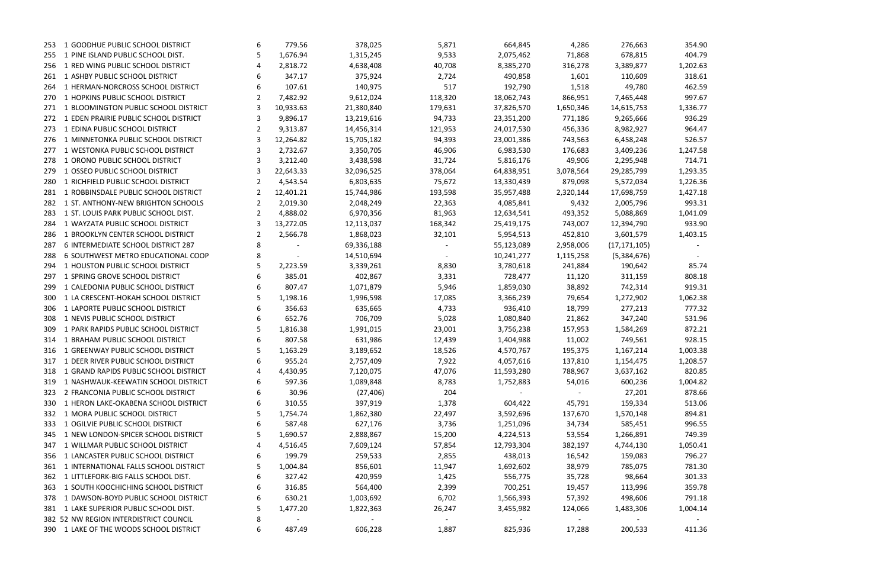| 253 | 1 GOODHUE PUBLIC SCHOOL DISTRICT          | 6 | 779.56    | 378,025                | 5,871   | 664,845    | 4,286     | 276,663        | 354.90   |
|-----|-------------------------------------------|---|-----------|------------------------|---------|------------|-----------|----------------|----------|
| 255 | 1 PINE ISLAND PUBLIC SCHOOL DIST.         | 5 | 1,676.94  | 1,315,245              | 9,533   | 2,075,462  | 71,868    | 678,815        | 404.79   |
| 256 | 1 RED WING PUBLIC SCHOOL DISTRICT         |   | 2,818.72  | 4,638,408              | 40,708  | 8,385,270  | 316,278   | 3,389,877      | 1,202.63 |
| 261 | 1 ASHBY PUBLIC SCHOOL DISTRICT            |   | 347.17    | 375,924                | 2,724   | 490,858    | 1,601     | 110,609        | 318.61   |
| 264 | 1 HERMAN-NORCROSS SCHOOL DISTRICT         | 6 | 107.61    | 140,975                | 517     | 192,790    | 1,518     | 49,780         | 462.59   |
|     | 270 1 HOPKINS PUBLIC SCHOOL DISTRICT      |   | 7,482.92  | 9,612,024              | 118,320 | 18,062,743 | 866,951   | 7,465,448      | 997.67   |
| 271 | 1 BLOOMINGTON PUBLIC SCHOOL DISTRICT      | 3 | 10,933.63 | 21,380,840             | 179,631 | 37,826,570 | 1,650,346 | 14,615,753     | 1,336.77 |
|     | 272 1 EDEN PRAIRIE PUBLIC SCHOOL DISTRICT | 3 | 9,896.17  | 13,219,616             | 94,733  | 23,351,200 | 771,186   | 9,265,666      | 936.29   |
| 273 | 1 EDINA PUBLIC SCHOOL DISTRICT            |   | 9,313.87  | 14,456,314             | 121,953 | 24,017,530 | 456,336   | 8,982,927      | 964.47   |
| 276 | 1 MINNETONKA PUBLIC SCHOOL DISTRICT       | 3 | 12,264.82 | 15,705,182             | 94,393  | 23,001,386 | 743,563   | 6,458,248      | 526.57   |
| 277 | 1 WESTONKA PUBLIC SCHOOL DISTRICT         | 3 | 2,732.67  | 3,350,705              | 46,906  | 6,983,530  | 176,683   | 3,409,236      | 1,247.58 |
| 278 | 1 ORONO PUBLIC SCHOOL DISTRICT            | 3 | 3,212.40  | 3,438,598              | 31,724  | 5,816,176  | 49,906    | 2,295,948      | 714.71   |
| 279 | 1 OSSEO PUBLIC SCHOOL DISTRICT            | 3 | 22,643.33 | 32,096,525             | 378,064 | 64,838,951 | 3,078,564 | 29,285,799     | 1,293.35 |
| 280 | 1 RICHFIELD PUBLIC SCHOOL DISTRICT        | 2 | 4,543.54  | 6,803,635              | 75,672  | 13,330,439 | 879,098   | 5,572,034      | 1,226.36 |
| 281 | 1 ROBBINSDALE PUBLIC SCHOOL DISTRICT      | 2 | 12,401.21 | 15,744,986             | 193,598 | 35,957,488 | 2,320,144 | 17,698,759     | 1,427.18 |
| 282 | 1 ST. ANTHONY-NEW BRIGHTON SCHOOLS        | 2 | 2,019.30  | 2,048,249              | 22,363  | 4,085,841  | 9,432     | 2,005,796      | 993.31   |
| 283 | 1 ST. LOUIS PARK PUBLIC SCHOOL DIST.      | 2 | 4,888.02  | 6,970,356              | 81,963  | 12,634,541 | 493,352   | 5,088,869      | 1,041.09 |
| 284 | 1 WAYZATA PUBLIC SCHOOL DISTRICT          |   | 13,272.05 | 12,113,037             | 168,342 | 25,419,175 | 743,007   | 12,394,790     | 933.90   |
| 286 | 1 BROOKLYN CENTER SCHOOL DISTRICT         | 2 | 2,566.78  | 1,868,023              | 32,101  | 5,954,513  | 452,810   | 3,601,579      | 1,403.15 |
| 287 | 6 INTERMEDIATE SCHOOL DISTRICT 287        | 8 |           | 69,336,188             |         | 55,123,089 | 2,958,006 | (17, 171, 105) |          |
| 288 | 6 SOUTHWEST METRO EDUCATIONAL COOP        |   | $\sim$    | 14,510,694             | $\sim$  | 10,241,277 | 1,115,258 | (5,384,676)    |          |
| 294 | 1 HOUSTON PUBLIC SCHOOL DISTRICT          |   | 2,223.59  | 3,339,261              | 8,830   | 3,780,618  | 241,884   | 190,642        | 85.74    |
| 297 | 1 SPRING GROVE SCHOOL DISTRICT            |   | 385.01    | 402,867                | 3,331   | 728,477    | 11,120    | 311,159        | 808.18   |
| 299 | 1 CALEDONIA PUBLIC SCHOOL DISTRICT        | 6 | 807.47    | 1,071,879              | 5,946   | 1,859,030  | 38,892    | 742,314        | 919.31   |
| 300 | 1 LA CRESCENT-HOKAH SCHOOL DISTRICT       | 5 | 1,198.16  | 1,996,598              | 17,085  | 3,366,239  | 79,654    | 1,272,902      | 1,062.38 |
| 306 | 1 LAPORTE PUBLIC SCHOOL DISTRICT          |   | 356.63    | 635,665                | 4,733   | 936,410    | 18,799    | 277,213        | 777.32   |
| 308 | 1 NEVIS PUBLIC SCHOOL DISTRICT            |   | 652.76    | 706,709                | 5,028   | 1,080,840  | 21,862    | 347,240        | 531.96   |
| 309 | 1 PARK RAPIDS PUBLIC SCHOOL DISTRICT      | 5 |           |                        |         | 3,756,238  |           |                |          |
|     | 1 BRAHAM PUBLIC SCHOOL DISTRICT           |   | 1,816.38  | 1,991,015              | 23,001  |            | 157,953   | 1,584,269      | 872.21   |
| 314 | 1 GREENWAY PUBLIC SCHOOL DISTRICT         | 6 | 807.58    | 631,986                | 12,439  | 1,404,988  | 11,002    | 749,561        | 928.15   |
| 316 | 317 1 DEER RIVER PUBLIC SCHOOL DISTRICT   |   | 1,163.29  | 3,189,652<br>2,757,409 | 18,526  | 4,570,767  | 195,375   | 1,167,214      | 1,003.38 |
|     |                                           | 6 | 955.24    |                        | 7,922   | 4,057,616  | 137,810   | 1,154,475      | 1,208.57 |
| 318 | 1 GRAND RAPIDS PUBLIC SCHOOL DISTRICT     | 4 | 4,430.95  | 7,120,075              | 47,076  | 11,593,280 | 788,967   | 3,637,162      | 820.85   |
| 319 | 1 NASHWAUK-KEEWATIN SCHOOL DISTRICT       | 6 | 597.36    | 1,089,848              | 8,783   | 1,752,883  | 54,016    | 600,236        | 1,004.82 |
| 323 | 2 FRANCONIA PUBLIC SCHOOL DISTRICT        |   | 30.96     | (27, 406)              | 204     |            |           | 27,201         | 878.66   |
| 330 | 1 HERON LAKE-OKABENA SCHOOL DISTRICT      |   | 310.55    | 397,919                | 1,378   | 604,422    | 45,791    | 159,334        | 513.06   |
| 332 | 1 MORA PUBLIC SCHOOL DISTRICT             |   | 1,754.74  | 1,862,380              | 22,497  | 3,592,696  | 137,670   | 1,570,148      | 894.81   |
| 333 | 1 OGILVIE PUBLIC SCHOOL DISTRICT          | 6 | 587.48    | 627,176                | 3,736   | 1,251,096  | 34,734    | 585,451        | 996.55   |
| 345 | 1 NEW LONDON-SPICER SCHOOL DISTRICT       | 5 | 1,690.57  | 2,888,867              | 15,200  | 4,224,513  | 53,554    | 1,266,891      | 749.39   |
| 347 | 1 WILLMAR PUBLIC SCHOOL DISTRICT          |   | 4,516.45  | 7,609,124              | 57,854  | 12,793,304 | 382,197   | 4,744,130      | 1,050.41 |
| 356 | 1 LANCASTER PUBLIC SCHOOL DISTRICT        |   | 199.79    | 259,533                | 2,855   | 438,013    | 16,542    | 159,083        | 796.27   |
|     | 361 1 INTERNATIONAL FALLS SCHOOL DISTRICT | Ь | 1,004.84  | 856,601                | 11,947  | 1,692,602  | 38,979    | 785,075        | 781.30   |
| 362 | 1 LITTLEFORK-BIG FALLS SCHOOL DIST.       | 6 | 327.42    | 420,959                | 1,425   | 556,775    | 35,728    | 98,664         | 301.33   |
|     | 363 1 SOUTH KOOCHICHING SCHOOL DISTRICT   |   | 316.85    | 564,400                | 2,399   | 700,251    | 19,457    | 113,996        | 359.78   |
| 378 | 1 DAWSON-BOYD PUBLIC SCHOOL DISTRICT      | 6 | 630.21    | 1,003,692              | 6,702   | 1,566,393  | 57,392    | 498,606        | 791.18   |
|     | 381 1 LAKE SUPERIOR PUBLIC SCHOOL DIST.   |   | 1,477.20  | 1,822,363              | 26,247  | 3,455,982  | 124,066   | 1,483,306      | 1,004.14 |
|     | 382 52 NW REGION INTERDISTRICT COUNCIL    | 8 |           |                        |         |            |           |                |          |
|     | 390 1 LAKE OF THE WOODS SCHOOL DISTRICT   | 6 | 487.49    | 606,228                | 1,887   | 825,936    | 17,288    | 200,533        | 411.36   |

| 354.90             |       |
|--------------------|-------|
| 404.79             |       |
| 1,202.63           |       |
| 318.61             |       |
| 462.59             |       |
| 997.67             |       |
| 336.77<br>1,       |       |
| 936.29             |       |
| 964.47             |       |
| 526.57<br>1,247.58 |       |
| 714.71             |       |
| 1,293.35           |       |
| 1,226.36           |       |
| 1,427.18           |       |
| 993.31             |       |
| 1,041.09           |       |
| 933.90             |       |
| 1,403.15           |       |
|                    |       |
|                    |       |
|                    | 85.74 |
| 808.18             |       |
|                    |       |
| 919.31             |       |
| 1,062.38           |       |
| 777.32             |       |
| 531.96             |       |
| 872.21             |       |
| 928.15             |       |
| 1,003.38           |       |
| 1,208.57           |       |
| 820.85             |       |
| 1,004.82<br>878.66 |       |
| 513.06             |       |
| 894.81             |       |
| 996.55             |       |
| 749.39             |       |
| 1,050.41           |       |
| 796.27             |       |
| 781.30             |       |
| 301.33             |       |
| 359.78             |       |
| 791.18             |       |
| 1,004.14           |       |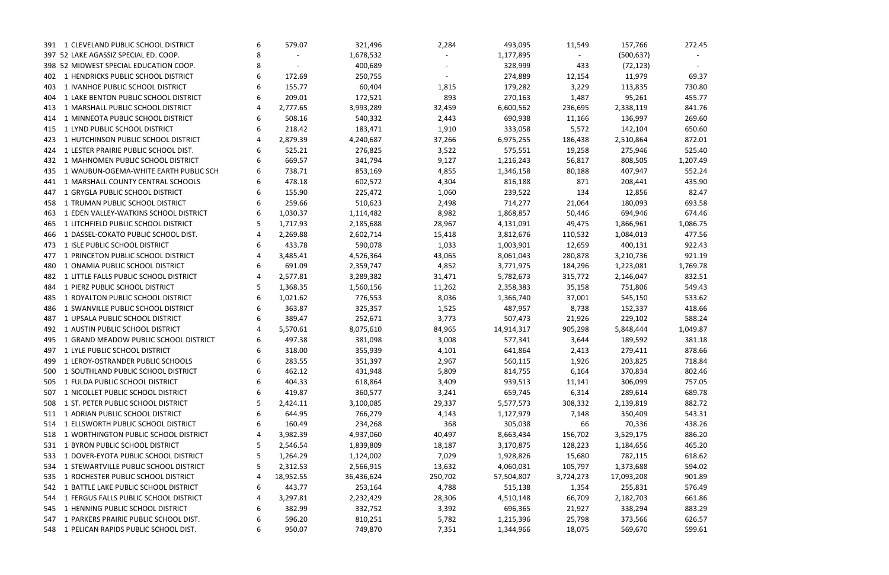| 391 1 CLEVELAND PUBLIC SCHOOL DISTRICT       | 6 | 579.07    | 321,496    | 2,284   | 493,095    | 11,549    | 157,766    | 272.45   |
|----------------------------------------------|---|-----------|------------|---------|------------|-----------|------------|----------|
| 397 52 LAKE AGASSIZ SPECIAL ED. COOP.        | 8 |           | 1,678,532  |         | 1,177,895  |           | (500, 637) |          |
| 398 52 MIDWEST SPECIAL EDUCATION COOP.       | 8 |           | 400,689    |         | 328,999    | 433       | (72, 123)  |          |
| 1 HENDRICKS PUBLIC SCHOOL DISTRICT<br>402    | 6 | 172.69    | 250,755    |         | 274,889    | 12,154    | 11,979     | 69.37    |
| 1 IVANHOE PUBLIC SCHOOL DISTRICT<br>403      | 6 | 155.77    | 60,404     | 1,815   | 179,282    | 3,229     | 113,835    | 730.80   |
| 1 LAKE BENTON PUBLIC SCHOOL DISTRICT<br>404  | 6 | 209.01    | 172,521    | 893     | 270,163    | 1,487     | 95,261     | 455.77   |
| 1 MARSHALL PUBLIC SCHOOL DISTRICT<br>413     |   | 2,777.65  | 3,993,289  | 32,459  | 6,600,562  | 236,695   | 2,338,119  | 841.76   |
| 1 MINNEOTA PUBLIC SCHOOL DISTRICT<br>414     | 6 | 508.16    | 540,332    | 2,443   | 690,938    | 11,166    | 136,997    | 269.60   |
| 1 LYND PUBLIC SCHOOL DISTRICT<br>415         | 6 | 218.42    | 183,471    | 1,910   | 333,058    | 5,572     | 142,104    | 650.60   |
| 1 HUTCHINSON PUBLIC SCHOOL DISTRICT<br>423   |   | 2,879.39  | 4,240,687  | 37,266  | 6,975,255  | 186,438   | 2,510,864  | 872.01   |
| 1 LESTER PRAIRIE PUBLIC SCHOOL DIST.<br>424  | 6 | 525.21    | 276,825    | 3,522   | 575,551    | 19,258    | 275,946    | 525.40   |
| 1 MAHNOMEN PUBLIC SCHOOL DISTRICT<br>432     | 6 | 669.57    | 341,794    | 9,127   | 1,216,243  | 56,817    | 808,505    | 1,207.49 |
| 1 WAUBUN-OGEMA-WHITE EARTH PUBLIC SCH<br>435 | 6 | 738.71    | 853,169    | 4,855   | 1,346,158  | 80,188    | 407,947    | 552.24   |
| 1 MARSHALL COUNTY CENTRAL SCHOOLS<br>441     |   | 478.18    | 602,572    | 4,304   | 816,188    | 871       | 208,441    | 435.90   |
| 1 GRYGLA PUBLIC SCHOOL DISTRICT<br>447       | 6 | 155.90    | 225,472    | 1,060   | 239,522    | 134       | 12,856     | 82.47    |
| 1 TRUMAN PUBLIC SCHOOL DISTRICT<br>458       |   | 259.66    | 510,623    | 2,498   | 714,277    | 21,064    | 180,093    | 693.58   |
| 1 EDEN VALLEY-WATKINS SCHOOL DISTRICT<br>463 | 6 | 1,030.37  | 1,114,482  | 8,982   | 1,868,857  | 50,446    | 694,946    | 674.46   |
| 1 LITCHFIELD PUBLIC SCHOOL DISTRICT<br>465   |   | 1,717.93  | 2,185,688  | 28,967  | 4,131,091  | 49,475    | 1,866,961  | 1,086.75 |
| 1 DASSEL-COKATO PUBLIC SCHOOL DIST.<br>466   |   | 2,269.88  | 2,602,714  | 15,418  | 3,812,676  | 110,532   | 1,084,013  | 477.56   |
| 1 ISLE PUBLIC SCHOOL DISTRICT<br>473         | 6 | 433.78    | 590,078    | 1,033   | 1,003,901  | 12,659    | 400,131    | 922.43   |
| 1 PRINCETON PUBLIC SCHOOL DISTRICT<br>477    |   | 3,485.41  | 4,526,364  | 43,065  | 8,061,043  | 280,878   | 3,210,736  | 921.19   |
| 1 ONAMIA PUBLIC SCHOOL DISTRICT<br>480       | 6 | 691.09    | 2,359,747  | 4,852   | 3,771,975  | 184,296   | 1,223,081  | 1,769.78 |
| 1 LITTLE FALLS PUBLIC SCHOOL DISTRICT<br>482 |   | 2,577.81  | 3,289,382  | 31,471  | 5,782,673  | 315,772   | 2,146,047  | 832.51   |
| 1 PIERZ PUBLIC SCHOOL DISTRICT<br>484        | 5 | 1,368.35  | 1,560,156  | 11,262  | 2,358,383  | 35,158    | 751,806    | 549.43   |
| 1 ROYALTON PUBLIC SCHOOL DISTRICT<br>485     | 6 | 1,021.62  | 776,553    | 8,036   | 1,366,740  | 37,001    | 545,150    | 533.62   |
| 1 SWANVILLE PUBLIC SCHOOL DISTRICT<br>486    | 6 | 363.87    | 325,357    | 1,525   | 487,957    | 8,738     | 152,337    | 418.66   |
| 1 UPSALA PUBLIC SCHOOL DISTRICT<br>487       | 6 | 389.47    | 252,671    | 3,773   | 507,473    | 21,926    | 229,102    | 588.24   |
| 1 AUSTIN PUBLIC SCHOOL DISTRICT<br>492       |   | 5,570.61  | 8,075,610  | 84,965  | 14,914,317 | 905,298   | 5,848,444  | 1,049.87 |
| 1 GRAND MEADOW PUBLIC SCHOOL DISTRICT<br>495 | 6 | 497.38    | 381,098    | 3,008   | 577,341    | 3,644     | 189,592    | 381.18   |
| 1 LYLE PUBLIC SCHOOL DISTRICT<br>497         | 6 | 318.00    | 355,939    | 4,101   | 641,864    | 2,413     | 279,411    | 878.66   |
| 499 1 LEROY-OSTRANDER PUBLIC SCHOOLS         | 6 | 283.55    | 351,397    | 2,967   | 560,115    | 1,926     | 203,825    | 718.84   |
| 500 1 SOUTHLAND PUBLIC SCHOOL DISTRICT       | 6 | 462.12    | 431,948    | 5,809   | 814,755    | 6,164     | 370,834    | 802.46   |
| 1 FULDA PUBLIC SCHOOL DISTRICT<br>505        | 6 | 404.33    | 618,864    | 3,409   | 939,513    | 11,141    | 306,099    | 757.05   |
| 1 NICOLLET PUBLIC SCHOOL DISTRICT<br>507     | 6 | 419.87    | 360,577    | 3,241   | 659,745    | 6,314     | 289,614    | 689.78   |
| 1 ST. PETER PUBLIC SCHOOL DISTRICT<br>508    |   | 2,424.11  | 3,100,085  | 29,337  | 5,577,573  | 308,332   | 2,139,819  | 882.72   |
| 1 ADRIAN PUBLIC SCHOOL DISTRICT<br>511       | 6 | 644.95    | 766,279    | 4,143   | 1,127,979  | 7,148     | 350,409    | 543.31   |
| 1 ELLSWORTH PUBLIC SCHOOL DISTRICT<br>514    | 6 | 160.49    | 234,268    | 368     | 305,038    | 66        | 70,336     | 438.26   |
| 1 WORTHINGTON PUBLIC SCHOOL DISTRICT<br>518  |   | 3,982.39  | 4,937,060  | 40,497  | 8,663,434  | 156,702   | 3,529,175  | 886.20   |
| 531 1 BYRON PUBLIC SCHOOL DISTRICT           |   | 2,546.54  | 1,839,809  | 18,187  | 3,170,875  | 128,223   | 1,184,656  | 465.20   |
| 1 DOVER-EYOTA PUBLIC SCHOOL DISTRICT<br>533  |   | 1,264.29  | 1,124,002  | 7,029   | 1,928,826  | 15,680    | 782,115    | 618.62   |
| 534 1 STEWARTVILLE PUBLIC SCHOOL DISTRICT    | 5 | 2,312.53  | 2,566,915  | 13,632  | 4,060,031  | 105,797   | 1,373,688  | 594.02   |
| 1 ROCHESTER PUBLIC SCHOOL DISTRICT<br>535    | 4 | 18,952.55 | 36,436,624 | 250,702 | 57,504,807 | 3,724,273 | 17,093,208 | 901.89   |
| 542 1 BATTLE LAKE PUBLIC SCHOOL DISTRICT     | 6 | 443.77    | 253,164    | 4,788   | 515,138    | 1,354     | 255,831    | 576.49   |
| 544 1 FERGUS FALLS PUBLIC SCHOOL DISTRICT    | 4 | 3,297.81  | 2,232,429  | 28,306  | 4,510,148  | 66,709    | 2,182,703  | 661.86   |
| 545 1 HENNING PUBLIC SCHOOL DISTRICT         | 6 | 382.99    | 332,752    | 3,392   | 696,365    | 21,927    | 338,294    | 883.29   |
| 1 PARKERS PRAIRIE PUBLIC SCHOOL DIST.<br>547 | 6 | 596.20    | 810,251    | 5,782   | 1,215,396  | 25,798    | 373,566    | 626.57   |
| 548 1 PELICAN RAPIDS PUBLIC SCHOOL DIST.     | 6 | 950.07    | 749,870    | 7,351   | 1,344,966  | 18,075    | 569,670    | 599.61   |
|                                              |   |           |            |         |            |           |            |          |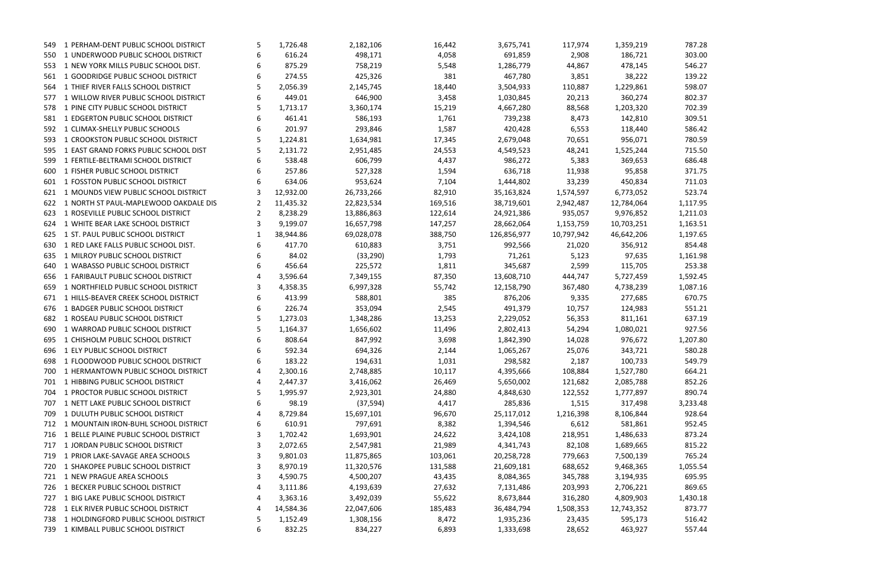| 549. | 1 PERHAM-DENT PUBLIC SCHOOL DISTRICT      | 5 | 1,726.48  | 2,182,106  | 16,442  | 3,675,741   | 117,974    | 1,359,219  | 787.28   |
|------|-------------------------------------------|---|-----------|------------|---------|-------------|------------|------------|----------|
| 550  | 1 UNDERWOOD PUBLIC SCHOOL DISTRICT        | 6 | 616.24    | 498,171    | 4,058   | 691,859     | 2,908      | 186,721    | 303.00   |
| 553  | 1 NEW YORK MILLS PUBLIC SCHOOL DIST.      | 6 | 875.29    | 758,219    | 5,548   | 1,286,779   | 44,867     | 478,145    | 546.27   |
| 561  | 1 GOODRIDGE PUBLIC SCHOOL DISTRICT        |   | 274.55    | 425,326    | 381     | 467,780     | 3,851      | 38,222     | 139.22   |
|      | 564 1 THIEF RIVER FALLS SCHOOL DISTRICT   |   | 2,056.39  | 2,145,745  | 18,440  | 3,504,933   | 110,887    | 1,229,861  | 598.07   |
| 577  | 1 WILLOW RIVER PUBLIC SCHOOL DISTRICT     | 6 | 449.01    | 646,900    | 3,458   | 1,030,845   | 20,213     | 360,274    | 802.37   |
|      | 578 1 PINE CITY PUBLIC SCHOOL DISTRICT    | 5 | 1,713.17  | 3,360,174  | 15,219  | 4,667,280   | 88,568     | 1,203,320  | 702.39   |
|      | 581 1 EDGERTON PUBLIC SCHOOL DISTRICT     | 6 | 461.41    | 586,193    | 1,761   | 739,238     | 8,473      | 142,810    | 309.51   |
| 592  | 1 CLIMAX-SHELLY PUBLIC SCHOOLS            |   | 201.97    | 293,846    | 1,587   | 420,428     | 6,553      | 118,440    | 586.42   |
|      | 593 1 CROOKSTON PUBLIC SCHOOL DISTRICT    | 5 | 1,224.81  | 1,634,981  | 17,345  | 2,679,048   | 70,651     | 956,071    | 780.59   |
| 595  | 1 EAST GRAND FORKS PUBLIC SCHOOL DIST     |   | 2,131.72  | 2,951,485  | 24,553  | 4,549,523   | 48,241     | 1,525,244  | 715.50   |
| 599  | 1 FERTILE-BELTRAMI SCHOOL DISTRICT        | 6 | 538.48    | 606,799    | 4,437   | 986,272     | 5,383      | 369,653    | 686.48   |
| 600  | 1 FISHER PUBLIC SCHOOL DISTRICT           |   | 257.86    | 527,328    | 1,594   | 636,718     | 11,938     | 95,858     | 371.75   |
|      | 601 1 FOSSTON PUBLIC SCHOOL DISTRICT      |   | 634.06    | 953,624    | 7,104   | 1,444,802   | 33,239     | 450,834    | 711.03   |
|      | 621 1 MOUNDS VIEW PUBLIC SCHOOL DISTRICT  | 3 | 12,932.00 | 26,733,266 | 82,910  | 35,163,824  | 1,574,597  | 6,773,052  | 523.74   |
| 622  | 1 NORTH ST PAUL-MAPLEWOOD OAKDALE DIS     | 2 | 11,435.32 | 22,823,534 | 169,516 | 38,719,601  | 2,942,487  | 12,784,064 | 1,117.95 |
| 623  | 1 ROSEVILLE PUBLIC SCHOOL DISTRICT        | 2 | 8,238.29  | 13,886,863 | 122,614 | 24,921,386  | 935,057    | 9,976,852  | 1,211.03 |
| 624  | 1 WHITE BEAR LAKE SCHOOL DISTRICT         |   | 9,199.07  | 16,657,798 | 147,257 | 28,662,064  | 1,153,759  | 10,703,251 | 1,163.51 |
|      | 625 1 ST. PAUL PUBLIC SCHOOL DISTRICT     | 1 | 38,944.86 | 69,028,078 | 388,750 | 126,856,977 | 10,797,942 | 46,642,206 | 1,197.65 |
| 630  | 1 RED LAKE FALLS PUBLIC SCHOOL DIST.      | 6 | 417.70    | 610,883    | 3,751   | 992,566     | 21,020     | 356,912    | 854.48   |
| 635  | 1 MILROY PUBLIC SCHOOL DISTRICT           |   | 84.02     | (33, 290)  | 1,793   | 71,261      | 5,123      | 97,635     | 1,161.98 |
| 640  | 1 WABASSO PUBLIC SCHOOL DISTRICT          | 6 | 456.64    | 225,572    | 1,811   | 345,687     | 2,599      | 115,705    | 253.38   |
| 656  | 1 FARIBAULT PUBLIC SCHOOL DISTRICT        |   | 3,596.64  | 7,349,155  | 87,350  | 13,608,710  | 444,747    | 5,727,459  | 1,592.45 |
| 659  | 1 NORTHFIELD PUBLIC SCHOOL DISTRICT       |   | 4,358.35  | 6,997,328  | 55,742  | 12,158,790  | 367,480    | 4,738,239  | 1,087.16 |
| 671  | 1 HILLS-BEAVER CREEK SCHOOL DISTRICT      | 6 | 413.99    | 588,801    | 385     | 876,206     | 9,335      | 277,685    | 670.75   |
| 676  | 1 BADGER PUBLIC SCHOOL DISTRICT           | 6 | 226.74    | 353,094    | 2,545   | 491,379     | 10,757     | 124,983    | 551.21   |
| 682  | 1 ROSEAU PUBLIC SCHOOL DISTRICT           | 5 | 1,273.03  | 1,348,286  | 13,253  | 2,229,052   | 56,353     | 811,161    | 637.19   |
| 690  | 1 WARROAD PUBLIC SCHOOL DISTRICT          | 5 | 1,164.37  | 1,656,602  | 11,496  | 2,802,413   | 54,294     | 1,080,021  | 927.56   |
| 695  | 1 CHISHOLM PUBLIC SCHOOL DISTRICT         | 6 | 808.64    | 847,992    | 3,698   | 1,842,390   | 14,028     | 976,672    | 1,207.80 |
| 696  | 1 ELY PUBLIC SCHOOL DISTRICT              |   | 592.34    | 694,326    | 2,144   | 1,065,267   | 25,076     | 343,721    | 580.28   |
|      | 698 1 FLOODWOOD PUBLIC SCHOOL DISTRICT    | 6 | 183.22    | 194,631    | 1,031   | 298,582     | 2,187      | 100,733    | 549.79   |
| 700  | 1 HERMANTOWN PUBLIC SCHOOL DISTRICT       | 4 | 2,300.16  | 2,748,885  | 10,117  | 4,395,666   | 108,884    | 1,527,780  | 664.21   |
| 701  | 1 HIBBING PUBLIC SCHOOL DISTRICT          |   | 2,447.37  | 3,416,062  | 26,469  | 5,650,002   | 121,682    | 2,085,788  | 852.26   |
|      | 704 1 PROCTOR PUBLIC SCHOOL DISTRICT      | 5 | 1,995.97  | 2,923,301  | 24,880  | 4,848,630   | 122,552    | 1,777,897  | 890.74   |
| 707  | 1 NETT LAKE PUBLIC SCHOOL DISTRICT        | 6 | 98.19     | (37, 594)  | 4,417   | 285,836     | 1,515      | 317,498    | 3,233.48 |
| 709  | 1 DULUTH PUBLIC SCHOOL DISTRICT           |   | 8,729.84  | 15,697,101 | 96,670  | 25,117,012  | 1,216,398  | 8,106,844  | 928.64   |
| 712  | 1 MOUNTAIN IRON-BUHL SCHOOL DISTRICT      | 6 | 610.91    | 797,691    | 8,382   | 1,394,546   | 6,612      | 581,861    | 952.45   |
|      | 716 1 BELLE PLAINE PUBLIC SCHOOL DISTRICT | 3 | 1,702.42  | 1,693,901  | 24,622  | 3,424,108   | 218,951    | 1,486,633  | 873.24   |
| 717  | 1 JORDAN PUBLIC SCHOOL DISTRICT           |   | 2,072.65  | 2,547,981  | 21,989  | 4,341,743   | 82,108     | 1,689,665  | 815.22   |
| 719  | 1 PRIOR LAKE-SAVAGE AREA SCHOOLS          |   | 9,801.03  | 11,875,865 | 103,061 | 20,258,728  | 779,663    | 7,500,139  | 765.24   |
| 720  | 1 SHAKOPEE PUBLIC SCHOOL DISTRICT         | 3 | 8,970.19  | 11,320,576 | 131,588 | 21,609,181  | 688,652    | 9,468,365  | 1,055.54 |
| 721  | 1 NEW PRAGUE AREA SCHOOLS                 |   | 4,590.75  | 4,500,207  | 43,435  | 8,084,365   | 345,788    | 3,194,935  | 695.95   |
|      | 726 1 BECKER PUBLIC SCHOOL DISTRICT       | 4 | 3,111.86  | 4,193,639  | 27,632  | 7,131,486   | 203,993    | 2,706,221  | 869.65   |
| 727  | 1 BIG LAKE PUBLIC SCHOOL DISTRICT         | 4 | 3,363.16  | 3,492,039  | 55,622  | 8,673,844   | 316,280    | 4,809,903  | 1,430.18 |
|      | 728 1 ELK RIVER PUBLIC SCHOOL DISTRICT    | 4 | 14,584.36 | 22,047,606 | 185,483 | 36,484,794  | 1,508,353  | 12,743,352 | 873.77   |
|      | 738 1 HOLDINGFORD PUBLIC SCHOOL DISTRICT  | 5 | 1,152.49  | 1,308,156  | 8,472   | 1,935,236   | 23,435     | 595,173    | 516.42   |
|      | 739 1 KIMBALL PUBLIC SCHOOL DISTRICT      | 6 | 832.25    | 834,227    | 6,893   | 1,333,698   | 28,652     | 463,927    | 557.44   |
|      |                                           |   |           |            |         |             |            |            |          |

| 9,219 | 787.28   |
|-------|----------|
| 5,721 | 303.00   |
| 3,145 | 546.27   |
| 3,222 | 139.22   |
| 9,861 | 598.07   |
| ),274 | 802.37   |
| 3,320 | 702.39   |
| 2,810 | 309.51   |
| 3,440 | 586.42   |
| 5,071 | 780.59   |
| 5,244 | 715.50   |
| 9,653 | 686.48   |
| 5,858 | 371.75   |
| ),834 | 711.03   |
| 3,052 | 523.74   |
| 1,064 | 1,117.95 |
| 5,852 | 1,211.03 |
| 3,251 | 1,163.51 |
| 2,206 | 1,197.65 |
| 5,912 | 854.48   |
| 7,635 | 1,161.98 |
| 5,705 | 253.38   |
| 7,459 | 1,592.45 |
| 3,239 | 1,087.16 |
| 7,685 | 670.75   |
| 1,983 | 551.21   |
| l,161 | 637.19   |
| ),021 | 927.56   |
| 5,672 | 1,207.80 |
| 3,721 | 580.28   |
| ),733 | 549.79   |
| 7,780 | 664.21   |
| 5,788 | 852.26   |
| 7,897 | 890.74   |
| 7,498 | 3,233.48 |
| 5,844 | 928.64   |
| L,861 | 952.45   |
| 5,633 | 873.24   |
| 9,665 | 815.22   |
| ),139 | 765.24   |
| 3,365 | 1,055.54 |
| 1,935 | 695.95   |
| 5,221 | 869.65   |
| 9,903 | 1,430.18 |
| 3,352 | 873.77   |
| 5,173 | 516.42   |
| דרם י | E E 7 11 |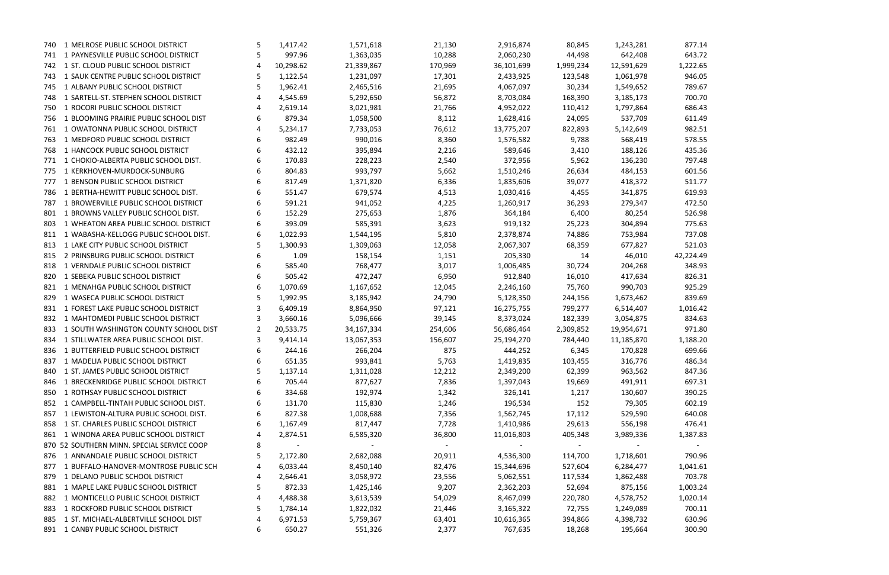|      | 740 1 MELROSE PUBLIC SCHOOL DISTRICT       | 5  | 1,417.42  | 1,571,618  | 21,130     | 2,916,874  | 80,845    | 1,243,281  | 877.14         |
|------|--------------------------------------------|----|-----------|------------|------------|------------|-----------|------------|----------------|
| 741  | 1 PAYNESVILLE PUBLIC SCHOOL DISTRICT       | 5  | 997.96    | 1,363,035  | 10,288     | 2,060,230  | 44,498    | 642,408    | 643.72         |
|      | 742 1 ST. CLOUD PUBLIC SCHOOL DISTRICT     | 4  | 10,298.62 | 21,339,867 | 170,969    | 36,101,699 | 1,999,234 | 12,591,629 | 1,222.65       |
| 743. | 1 SAUK CENTRE PUBLIC SCHOOL DISTRICT       | 5  | 1,122.54  | 1,231,097  | 17,301     | 2,433,925  | 123,548   | 1,061,978  | 946.05         |
| 745  | 1 ALBANY PUBLIC SCHOOL DISTRICT            | 5. | 1,962.41  | 2,465,516  | 21,695     | 4,067,097  | 30,234    | 1,549,652  | 789.67         |
| 748. | 1 SARTELL-ST. STEPHEN SCHOOL DISTRICT      | 4  | 4,545.69  | 5,292,650  | 56,872     | 8,703,084  | 168,390   | 3,185,173  | 700.70         |
| 750  | 1 ROCORI PUBLIC SCHOOL DISTRICT            |    | 2,619.14  | 3,021,981  | 21,766     | 4,952,022  | 110,412   | 1,797,864  | 686.43         |
| 756  | 1 BLOOMING PRAIRIE PUBLIC SCHOOL DIST      | 6  | 879.34    | 1,058,500  | 8,112      | 1,628,416  | 24,095    | 537,709    | 611.49         |
| 761  | 1 OWATONNA PUBLIC SCHOOL DISTRICT          |    | 5,234.17  | 7,733,053  | 76,612     | 13,775,207 | 822,893   | 5,142,649  | 982.51         |
| 763  | 1 MEDFORD PUBLIC SCHOOL DISTRICT           | 6  | 982.49    | 990,016    | 8,360      | 1,576,582  | 9,788     | 568,419    | 578.55         |
| 768  | 1 HANCOCK PUBLIC SCHOOL DISTRICT           | 6  | 432.12    | 395,894    | 2,216      | 589,646    | 3,410     | 188,126    | 435.36         |
| 771  | 1 CHOKIO-ALBERTA PUBLIC SCHOOL DIST.       | 6  | 170.83    | 228,223    | 2,540      | 372,956    | 5,962     | 136,230    | 797.48         |
| 775  | 1 KERKHOVEN-MURDOCK-SUNBURG                |    | 804.83    | 993,797    | 5,662      | 1,510,246  | 26,634    | 484,153    | 601.56         |
| 777  | 1 BENSON PUBLIC SCHOOL DISTRICT            | 6  | 817.49    | 1,371,820  | 6,336      | 1,835,606  | 39,077    | 418,372    | 511.77         |
| 786  | 1 BERTHA-HEWITT PUBLIC SCHOOL DIST.        | 6  | 551.47    | 679,574    | 4,513      | 1,030,416  | 4,455     | 341,875    | 619.93         |
| 787  | 1 BROWERVILLE PUBLIC SCHOOL DISTRICT       |    | 591.21    | 941,052    | 4,225      | 1,260,917  | 36,293    | 279,347    | 472.50         |
| 801  | 1 BROWNS VALLEY PUBLIC SCHOOL DIST.        |    | 152.29    | 275,653    | 1,876      | 364,184    | 6,400     | 80,254     | 526.98         |
| 803  | 1 WHEATON AREA PUBLIC SCHOOL DISTRICT      |    | 393.09    | 585,391    | 3,623      | 919,132    | 25,223    | 304,894    | 775.63         |
| 811  | 1 WABASHA-KELLOGG PUBLIC SCHOOL DIST.      | 6  | 1,022.93  | 1,544,195  | 5,810      | 2,378,874  | 74,886    | 753,984    | 737.08         |
| 813  | 1 LAKE CITY PUBLIC SCHOOL DISTRICT         | 5  | 1,300.93  | 1,309,063  | 12,058     | 2,067,307  | 68,359    | 677,827    | 521.03         |
| 815  | 2 PRINSBURG PUBLIC SCHOOL DISTRICT         | 6  | 1.09      | 158,154    | 1,151      | 205,330    | 14        | 46,010     | 42,224.49      |
| 818  | 1 VERNDALE PUBLIC SCHOOL DISTRICT          |    | 585.40    | 768,477    | 3,017      | 1,006,485  | 30,724    | 204,268    | 348.93         |
| 820  | 1 SEBEKA PUBLIC SCHOOL DISTRICT            | 6  | 505.42    | 472,247    | 6,950      | 912,840    | 16,010    | 417,634    | 826.31         |
| 821  | 1 MENAHGA PUBLIC SCHOOL DISTRICT           | 6  | 1,070.69  | 1,167,652  | 12,045     | 2,246,160  | 75,760    | 990,703    | 925.29         |
| 829  | 1 WASECA PUBLIC SCHOOL DISTRICT            |    | 1,992.95  | 3,185,942  | 24,790     | 5,128,350  | 244,156   | 1,673,462  | 839.69         |
| 831  | 1 FOREST LAKE PUBLIC SCHOOL DISTRICT       |    | 6,409.19  | 8,864,950  | 97,121     | 16,275,755 | 799,277   | 6,514,407  | 1,016.42       |
| 832  | 1 MAHTOMEDI PUBLIC SCHOOL DISTRICT         |    | 3,660.16  | 5,096,666  | 39,145     | 8,373,024  | 182,339   | 3,054,875  | 834.63         |
| 833  | 1 SOUTH WASHINGTON COUNTY SCHOOL DIST      |    | 20,533.75 | 34,167,334 | 254,606    | 56,686,464 | 2,309,852 | 19,954,671 | 971.80         |
|      | 834 1 STILLWATER AREA PUBLIC SCHOOL DIST.  | 3  | 9,414.14  | 13,067,353 | 156,607    | 25,194,270 | 784,440   | 11,185,870 | 1,188.20       |
| 836  | 1 BUTTERFIELD PUBLIC SCHOOL DISTRICT       | 6  | 244.16    | 266,204    | 875        | 444,252    | 6,345     | 170,828    | 699.66         |
|      | 837 1 MADELIA PUBLIC SCHOOL DISTRICT       | 6  | 651.35    | 993,841    | 5,763      | 1,419,835  | 103,455   | 316,776    | 486.34         |
|      | 840 1 ST. JAMES PUBLIC SCHOOL DISTRICT     | 5  | 1,137.14  | 1,311,028  | 12,212     | 2,349,200  | 62,399    | 963,562    | 847.36         |
|      | 846 1 BRECKENRIDGE PUBLIC SCHOOL DISTRICT  | 6  | 705.44    | 877,627    | 7,836      | 1,397,043  | 19,669    | 491,911    | 697.31         |
|      | 850 1 ROTHSAY PUBLIC SCHOOL DISTRICT       |    | 334.68    | 192,974    | 1,342      | 326,141    | 1,217     | 130,607    | 390.25         |
|      | 852 1 CAMPBELL-TINTAH PUBLIC SCHOOL DIST.  |    | 131.70    | 115,830    | 1,246      | 196,534    | 152       | 79,305     | 602.19         |
|      | 857 1 LEWISTON-ALTURA PUBLIC SCHOOL DIST.  |    | 827.38    | 1,008,688  | 7,356      | 1,562,745  | 17,112    | 529,590    | 640.08         |
|      | 858 1 ST. CHARLES PUBLIC SCHOOL DISTRICT   |    | 1,167.49  | 817,447    | 7,728      | 1,410,986  | 29,613    | 556,198    | 476.41         |
|      | 861 1 WINONA AREA PUBLIC SCHOOL DISTRICT   |    | 2,874.51  | 6,585,320  | 36,800     | 11,016,803 | 405,348   | 3,989,336  | 1,387.83       |
|      | 870 52 SOUTHERN MINN. SPECIAL SERVICE COOP | 8  | $\sim$    | $\sim$     | $\sim$ $-$ |            | $\sim$    | $\sim$     | $\sim$ $ \sim$ |
|      | 876 1 ANNANDALE PUBLIC SCHOOL DISTRICT     |    | 2,172.80  | 2,682,088  | 20,911     | 4,536,300  | 114,700   | 1,718,601  | 790.96         |
|      | 877 1 BUFFALO-HANOVER-MONTROSE PUBLIC SCH  | 4  | 6,033.44  | 8,450,140  | 82,476     | 15,344,696 | 527,604   | 6,284,477  | 1,041.61       |
| 879  | 1 DELANO PUBLIC SCHOOL DISTRICT            |    | 2,646.41  | 3,058,972  | 23,556     | 5,062,551  | 117,534   | 1,862,488  | 703.78         |
|      | 881 1 MAPLE LAKE PUBLIC SCHOOL DISTRICT    | 5. | 872.33    | 1,425,146  | 9,207      | 2,362,203  | 52,694    | 875,156    | 1,003.24       |
|      | 882 1 MONTICELLO PUBLIC SCHOOL DISTRICT    |    | 4,488.38  | 3,613,539  | 54,029     | 8,467,099  | 220,780   | 4,578,752  | 1,020.14       |
|      | 883 1 ROCKFORD PUBLIC SCHOOL DISTRICT      | 5  | 1,784.14  | 1,822,032  | 21,446     | 3,165,322  | 72,755    | 1,249,089  | 700.11         |
|      | 885 1 ST. MICHAEL-ALBERTVILLE SCHOOL DIST  | 4  | 6,971.53  | 5,759,367  | 63,401     | 10,616,365 | 394,866   | 4,398,732  | 630.96         |
|      | 891 1 CANBY PUBLIC SCHOOL DISTRICT         | 6  | 650.27    | 551,326    | 2,377      | 767,635    | 18,268    | 195,664    | 300.90         |
|      |                                            |    |           |            |            |            |           |            |                |

|           |  | 877.14           |  |
|-----------|--|------------------|--|
|           |  | 643.72           |  |
|           |  | 1,222.65         |  |
|           |  | 946.05           |  |
|           |  | 789.67           |  |
|           |  | 700.70           |  |
|           |  | 686.43           |  |
|           |  | 611.49           |  |
|           |  | 982.51           |  |
|           |  | 578.55           |  |
|           |  |                  |  |
|           |  | 435.36<br>797.48 |  |
|           |  |                  |  |
|           |  | 601.56           |  |
|           |  | 511.77           |  |
|           |  | 619.93           |  |
|           |  | 472.50           |  |
|           |  | 526.98           |  |
|           |  | 775.63           |  |
|           |  | 737.08           |  |
|           |  | 521.03           |  |
| 12,224.49 |  |                  |  |
|           |  | 348.93           |  |
|           |  | 826.31           |  |
|           |  | 925.29           |  |
|           |  | 839.69           |  |
|           |  | 1,016.42         |  |
|           |  | 834.63           |  |
|           |  | 971.80           |  |
|           |  | 1,188.20         |  |
|           |  | 699.66           |  |
|           |  | 486.34           |  |
|           |  | 847.36           |  |
|           |  | 697.31           |  |
|           |  | 390.25           |  |
|           |  | 602.19           |  |
|           |  | 640.08           |  |
|           |  | 476.41           |  |
|           |  | 1,387.83         |  |
|           |  |                  |  |
|           |  | 790.96           |  |
|           |  | 1,041.61         |  |
|           |  | 703.78           |  |
|           |  | 1,003.24         |  |
|           |  | 1,020.14         |  |
|           |  | 700.11           |  |
|           |  | 630.96           |  |
|           |  |                  |  |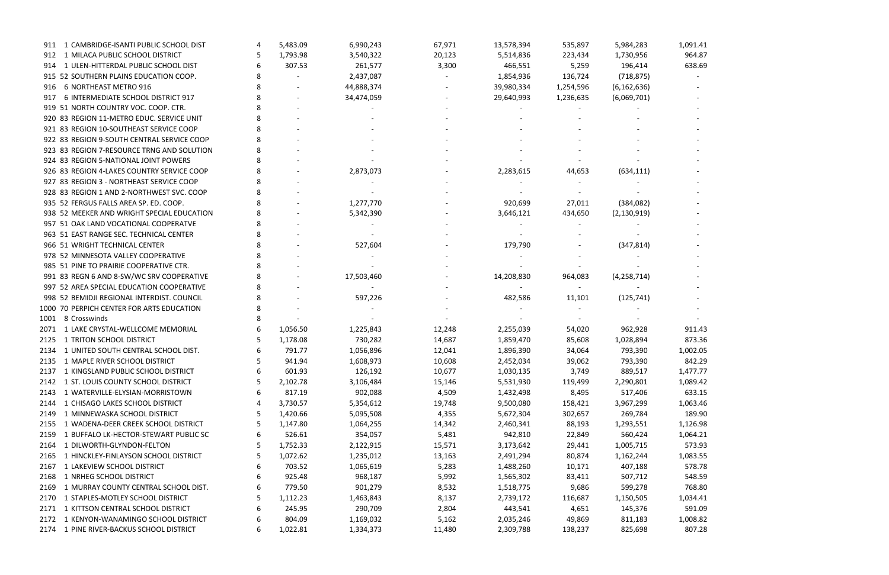| 1 CAMBRIDGE-ISANTI PUBLIC SCHOOL DIST<br>911    |   | 5,483.09           | 6,990,243            | 67,971 | 13,578,394           | 535,897   | 5,984,283            | 1,091.41           |
|-------------------------------------------------|---|--------------------|----------------------|--------|----------------------|-----------|----------------------|--------------------|
| 1 MILACA PUBLIC SCHOOL DISTRICT<br>912          |   | 1,793.98           | 3,540,322            | 20,123 | 5,514,836            | 223,434   | 1,730,956            | 964.87             |
| 1 ULEN-HITTERDAL PUBLIC SCHOOL DIST<br>914      |   | 307.53             | 261,577              | 3,300  | 466,551              | 5,259     | 196,414              | 638.69             |
| 915 52 SOUTHERN PLAINS EDUCATION COOP.          |   |                    | 2,437,087            |        | 1,854,936            | 136,724   | (718, 875)           |                    |
| 6 NORTHEAST METRO 916<br>916.                   |   |                    | 44,888,374           |        | 39,980,334           | 1,254,596 | (6, 162, 636)        |                    |
| 6 INTERMEDIATE SCHOOL DISTRICT 917<br>917       |   |                    | 34,474,059           |        | 29,640,993           | 1,236,635 | (6,069,701)          |                    |
| 919 51 NORTH COUNTRY VOC. COOP. CTR.            |   |                    |                      |        |                      |           |                      |                    |
| 920 83 REGION 11-METRO EDUC. SERVICE UNIT       |   |                    |                      |        |                      |           |                      |                    |
| 921 83 REGION 10-SOUTHEAST SERVICE COOP         |   |                    |                      |        |                      |           |                      |                    |
| 922 83 REGION 9-SOUTH CENTRAL SERVICE COOP      |   |                    |                      |        |                      |           |                      |                    |
| 923 83 REGION 7-RESOURCE TRNG AND SOLUTION      |   |                    |                      |        |                      |           |                      |                    |
| 924 83 REGION 5-NATIONAL JOINT POWERS           |   |                    |                      |        |                      |           |                      |                    |
| 926 83 REGION 4-LAKES COUNTRY SERVICE COOP      |   |                    | 2,873,073            |        | 2,283,615            | 44,653    | (634, 111)           |                    |
| 927 83 REGION 3 - NORTHEAST SERVICE COOP        |   |                    |                      |        |                      |           |                      |                    |
| 928 83 REGION 1 AND 2-NORTHWEST SVC. COOP       |   |                    |                      |        |                      |           |                      |                    |
| 935 52 FERGUS FALLS AREA SP. ED. COOP.          |   |                    | 1,277,770            |        | 920,699              | 27,011    | (384, 082)           |                    |
| 938 52 MEEKER AND WRIGHT SPECIAL EDUCATION      |   |                    | 5,342,390            |        | 3,646,121            | 434,650   | (2, 130, 919)        |                    |
| 957 51 OAK LAND VOCATIONAL COOPERATVE           |   |                    |                      |        |                      |           |                      |                    |
| 963 51 EAST RANGE SEC. TECHNICAL CENTER         |   |                    |                      |        |                      |           |                      |                    |
| 966 51 WRIGHT TECHNICAL CENTER                  |   |                    | 527,604              |        | 179,790              |           | (347, 814)           |                    |
| 978 52 MINNESOTA VALLEY COOPERATIVE             |   |                    |                      |        |                      |           |                      |                    |
| 985 51 PINE TO PRAIRIE COOPERATIVE CTR.         |   |                    |                      |        |                      |           |                      |                    |
| 991 83 REGN 6 AND 8-SW/WC SRV COOPERATIVE       |   |                    | 17,503,460           |        | 14,208,830           | 964,083   | (4, 258, 714)        |                    |
| 997 52 AREA SPECIAL EDUCATION COOPERATIVE       |   |                    |                      |        |                      |           |                      |                    |
| 998 52 BEMIDJI REGIONAL INTERDIST. COUNCIL      |   |                    | 597,226              |        | 482,586              | 11,101    | (125, 741)           |                    |
| 1000 70 PERPICH CENTER FOR ARTS EDUCATION       |   |                    |                      |        |                      |           |                      |                    |
| 8 Crosswinds<br>1001                            |   |                    |                      |        |                      |           |                      |                    |
| 1 LAKE CRYSTAL-WELLCOME MEMORIAL<br>2071        |   | 1,056.50           | 1,225,843            | 12,248 | 2,255,039            | 54,020    | 962,928              | 911.43             |
| 1 TRITON SCHOOL DISTRICT<br>2125                |   | 1,178.08           | 730,282              | 14,687 | 1,859,470            | 85,608    | 1,028,894            | 873.36             |
| 1 UNITED SOUTH CENTRAL SCHOOL DIST.<br>2134     |   | 791.77             | 1,056,896            | 12,041 | 1,896,390            | 34,064    | 793,390              | 1,002.05           |
| 2135 1 MAPLE RIVER SCHOOL DISTRICT              |   | 941.94             | 1,608,973            | 10,608 | 2,452,034            | 39,062    | 793,390              | 842.29             |
| 1 KINGSLAND PUBLIC SCHOOL DISTRICT<br>2137      | 6 | 601.93             | 126,192              | 10,677 | 1,030,135            | 3,749     | 889,517              | 1,477.77           |
| 2142 1 ST. LOUIS COUNTY SCHOOL DISTRICT         |   | 2,102.78           | 3,106,484            | 15,146 | 5,531,930            | 119,499   | 2,290,801            | 1,089.42           |
| 1 WATERVILLE-ELYSIAN-MORRISTOWN<br>2143         | 6 | 817.19             | 902,088              | 4,509  | 1,432,498            | 8,495     | 517,406              | 633.15             |
| 1 CHISAGO LAKES SCHOOL DISTRICT<br>2144         |   | 3,730.57           | 5,354,612            | 19,748 | 9,500,080            | 158,421   | 3,967,299            | 1,063.46           |
| 1 MINNEWASKA SCHOOL DISTRICT<br>2149            |   | 1,420.66           | 5,095,508            | 4,355  | 5,672,304            | 302,657   | 269,784              | 189.90             |
| 1 WADENA-DEER CREEK SCHOOL DISTRICT<br>2155     |   | 1,147.80           | 1,064,255            | 14,342 | 2,460,341            | 88,193    | 1,293,551            | 1,126.98           |
| 1 BUFFALO LK-HECTOR-STEWART PUBLIC SC<br>2159   |   | 526.61             | 354,057              | 5,481  | 942,810              | 22,849    | 560,424              | 1,064.21           |
| 1 DILWORTH-GLYNDON-FELTON<br>2164               |   | 1,752.33           | 2,122,915            | 15,571 | 3,173,642            | 29,441    | 1,005,715            | 573.93             |
| 1 HINCKLEY-FINLAYSON SCHOOL DISTRICT<br>2165    |   | 1,072.62           | 1,235,012            | 13,163 | 2,491,294            | 80,874    | 1,162,244            | 1,083.55           |
| 1 LAKEVIEW SCHOOL DISTRICT<br>2167              |   | 703.52             | 1,065,619            | 5,283  | 1,488,260            | 10,171    | 407,188              | 578.78             |
| 1 NRHEG SCHOOL DISTRICT<br>2168                 |   | 925.48             | 968,187              | 5,992  | 1,565,302            | 83,411    | 507,712              | 548.59             |
| 1 MURRAY COUNTY CENTRAL SCHOOL DIST.<br>2169    | 6 | 779.50             | 901,279              | 8,532  |                      | 9,686     | 599,278              | 768.80             |
| 1 STAPLES-MOTLEY SCHOOL DISTRICT                |   |                    |                      |        | 1,518,775            |           |                      |                    |
| 2170<br>1 KITTSON CENTRAL SCHOOL DISTRICT       |   | 1,112.23<br>245.95 | 1,463,843<br>290,709 | 8,137  | 2,739,172<br>443,541 | 116,687   | 1,150,505<br>145,376 | 1,034.41<br>591.09 |
| 2171<br>2172 1 KENYON-WANAMINGO SCHOOL DISTRICT |   |                    |                      | 2,804  |                      | 4,651     |                      |                    |
|                                                 | 6 | 804.09             | 1,169,032            | 5,162  | 2,035,246            | 49,869    | 811,183              | 1,008.82           |
| 2174 1 PINE RIVER-BACKUS SCHOOL DISTRICT        | 6 | 1,022.81           | 1,334,373            | 11,480 | 2,309,788            | 138,237   | 825,698              | 807.28             |

| 1,091.41           |
|--------------------|
| 964.87             |
| 638.69             |
|                    |
|                    |
|                    |
|                    |
|                    |
|                    |
|                    |
|                    |
|                    |
|                    |
|                    |
|                    |
|                    |
|                    |
|                    |
|                    |
|                    |
|                    |
|                    |
|                    |
|                    |
|                    |
| 911.43<br>873.36   |
| 002.05<br>1,       |
| 842.29             |
| 1,477.77           |
| 1,089.42           |
| 633.15             |
| 1,063.46           |
| 189.90             |
| 1,126.98           |
| 1,064.21           |
| 573.93<br>1,083.55 |
| 578.78             |
| 548.59             |
| 768.80             |
| 1,034.41           |
| 591.09             |
| 1,008.82           |
|                    |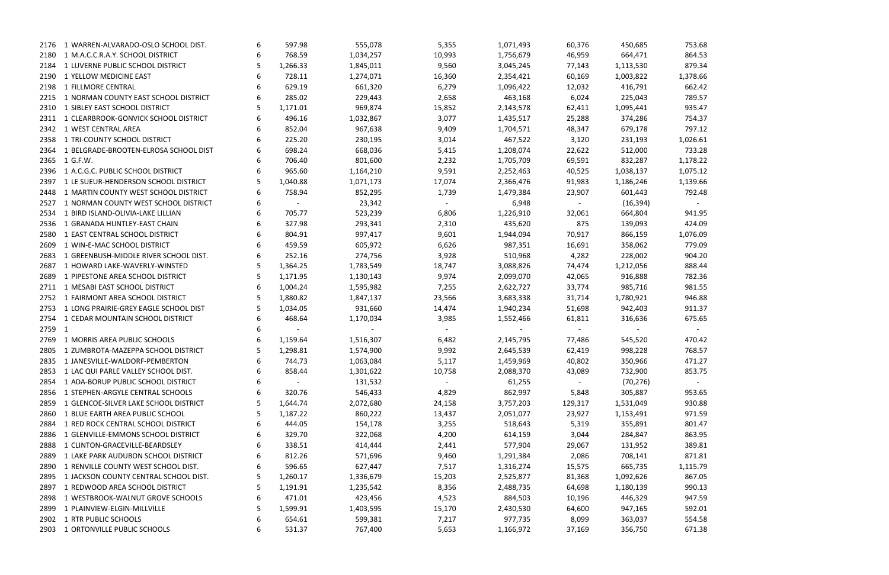|        | 2176 1 WARREN-ALVARADO-OSLO SCHOOL DIST.   | 6 | 597.98                   | 555,078   | 5,355      | 1,071,493 | 60,376                  | 450,685   | 753.68         |
|--------|--------------------------------------------|---|--------------------------|-----------|------------|-----------|-------------------------|-----------|----------------|
| 2180   | 1 M.A.C.C.R.A.Y. SCHOOL DISTRICT           | 6 | 768.59                   | 1,034,257 | 10,993     | 1,756,679 | 46,959                  | 664,471   | 864.53         |
| 2184   | 1 LUVERNE PUBLIC SCHOOL DISTRICT           |   | 1,266.33                 | 1,845,011 | 9,560      | 3,045,245 | 77,143                  | 1,113,530 | 879.34         |
| 2190   | 1 YELLOW MEDICINE EAST                     |   | 728.11                   | 1,274,071 | 16,360     | 2,354,421 | 60,169                  | 1,003,822 | 1,378.66       |
| 2198   | 1 FILLMORE CENTRAL                         |   | 629.19                   | 661,320   | 6,279      | 1,096,422 | 12,032                  | 416,791   | 662.42         |
| 2215   | 1 NORMAN COUNTY EAST SCHOOL DISTRICT       |   | 285.02                   | 229,443   | 2,658      | 463,168   | 6,024                   | 225,043   | 789.57         |
| 2310   | 1 SIBLEY EAST SCHOOL DISTRICT              |   | 1,171.01                 | 969,874   | 15,852     | 2,143,578 | 62,411                  | 1,095,441 | 935.47         |
|        | 2311 1 CLEARBROOK-GONVICK SCHOOL DISTRICT  |   | 496.16                   | 1,032,867 | 3,077      | 1,435,517 | 25,288                  | 374,286   | 754.37         |
| 2342   | 1 WEST CENTRAL AREA                        |   | 852.04                   | 967,638   | 9,409      | 1,704,571 | 48,347                  | 679,178   | 797.12         |
| 2358   | 1 TRI-COUNTY SCHOOL DISTRICT               |   | 225.20                   | 230,195   | 3,014      | 467,522   | 3,120                   | 231,193   | 1,026.61       |
| 2364   | 1 BELGRADE-BROOTEN-ELROSA SCHOOL DIST      |   | 698.24                   | 668,036   | 5,415      | 1,208,074 | 22,622                  | 512,000   | 733.28         |
|        | 2365 1 G.F.W.                              |   | 706.40                   | 801,600   | 2,232      | 1,705,709 | 69,591                  | 832,287   | 1,178.22       |
|        | 2396 1 A.C.G.C. PUBLIC SCHOOL DISTRICT     |   | 965.60                   | 1,164,210 | 9,591      | 2,252,463 | 40,525                  | 1,038,137 | 1,075.12       |
| 2397   | 1 LE SUEUR-HENDERSON SCHOOL DISTRICT       |   | 1,040.88                 | 1,071,173 | 17,074     | 2,366,476 | 91,983                  | 1,186,246 | 1,139.66       |
| 2448   | 1 MARTIN COUNTY WEST SCHOOL DISTRICT       |   | 758.94                   | 852,295   | 1,739      | 1,479,384 | 23,907                  | 601,443   | 792.48         |
| 2527   | 1 NORMAN COUNTY WEST SCHOOL DISTRICT       |   | $\sim 100$ km s $^{-1}$  | 23,342    | $\sim$ $-$ | 6,948     | $\sim 100$ km s $^{-1}$ | (16, 394) | $\sim$ $ \sim$ |
| 2534   | 1 BIRD ISLAND-OLIVIA-LAKE LILLIAN          | 6 | 705.77                   | 523,239   | 6,806      | 1,226,910 | 32,061                  | 664,804   | 941.95         |
| 2536   | 1 GRANADA HUNTLEY-EAST CHAIN               |   | 327.98                   | 293,341   | 2,310      | 435,620   | 875                     | 139,093   | 424.09         |
| 2580   | 1 EAST CENTRAL SCHOOL DISTRICT             |   | 804.91                   | 997,417   | 9,601      | 1,944,094 | 70,917                  | 866,159   | 1,076.09       |
| 2609   | 1 WIN-E-MAC SCHOOL DISTRICT                |   | 459.59                   | 605,972   | 6,626      | 987,351   | 16,691                  | 358,062   | 779.09         |
| 2683   | 1 GREENBUSH-MIDDLE RIVER SCHOOL DIST.      |   | 252.16                   | 274,756   | 3,928      | 510,968   | 4,282                   | 228,002   | 904.20         |
| 2687   | 1 HOWARD LAKE-WAVERLY-WINSTED              |   | 1,364.25                 | 1,783,549 | 18,747     | 3,088,826 | 74,474                  | 1,212,056 | 888.44         |
| 2689   | 1 PIPESTONE AREA SCHOOL DISTRICT           |   | 1,171.95                 | 1,130,143 | 9,974      | 2,099,070 | 42,065                  | 916,888   | 782.36         |
| 2711   | 1 MESABI EAST SCHOOL DISTRICT              |   | 1,004.24                 | 1,595,982 | 7,255      | 2,622,727 | 33,774                  | 985,716   | 981.55         |
| 2752   | 1 FAIRMONT AREA SCHOOL DISTRICT            |   | 1,880.82                 | 1,847,137 | 23,566     | 3,683,338 | 31,714                  | 1,780,921 | 946.88         |
|        | 2753 1 LONG PRAIRIE-GREY EAGLE SCHOOL DIST |   | 1,034.05                 | 931,660   | 14,474     | 1,940,234 | 51,698                  | 942,403   | 911.37         |
|        | 2754 1 CEDAR MOUNTAIN SCHOOL DISTRICT      |   | 468.64                   | 1,170,034 | 3,985      | 1,552,466 | 61,811                  | 316,636   | 675.65         |
| 2759 1 |                                            |   |                          |           |            |           | $\sim$ $-$              |           |                |
| 2769   | 1 MORRIS AREA PUBLIC SCHOOLS               |   | 1,159.64                 | 1,516,307 | 6,482      | 2,145,795 | 77,486                  | 545,520   | 470.42         |
| 2805   | 1 ZUMBROTA-MAZEPPA SCHOOL DISTRICT         |   | 1,298.81                 | 1,574,900 | 9,992      | 2,645,539 | 62,419                  | 998,228   | 768.57         |
|        | 2835 1 JANESVILLE-WALDORF-PEMBERTON        | 6 | 744.73                   | 1,063,084 | 5,117      | 1,459,969 | 40,802                  | 350,966   | 471.27         |
| 2853   | 1 LAC QUI PARLE VALLEY SCHOOL DIST.        | 6 | 858.44                   | 1,301,622 | 10,758     | 2,088,370 | 43,089                  | 732,900   | 853.75         |
| 2854   | 1 ADA-BORUP PUBLIC SCHOOL DISTRICT         | 6 | $\overline{\phantom{a}}$ | 131,532   |            | 61,255    |                         | (70, 276) | $\sim$ $-$     |
| 2856   | 1 STEPHEN-ARGYLE CENTRAL SCHOOLS           | 6 | 320.76                   | 546,433   | 4,829      | 862,997   | 5,848                   | 305,887   | 953.65         |
| 2859   | 1 GLENCOE-SILVER LAKE SCHOOL DISTRICT      |   | 1,644.74                 | 2,072,680 | 24,158     | 3,757,203 | 129,317                 | 1,531,049 | 930.88         |
| 2860   | 1 BLUE EARTH AREA PUBLIC SCHOOL            |   | 1,187.22                 | 860,222   | 13,437     | 2,051,077 | 23,927                  | 1,153,491 | 971.59         |
| 2884   | 1 RED ROCK CENTRAL SCHOOL DISTRICT         |   | 444.05                   | 154,178   | 3,255      | 518,643   | 5,319                   | 355,891   | 801.47         |
| 2886   | 1 GLENVILLE-EMMONS SCHOOL DISTRICT         |   | 329.70                   | 322,068   | 4,200      | 614,159   | 3,044                   | 284,847   | 863.95         |
| 2888   | 1 CLINTON-GRACEVILLE-BEARDSLEY             |   | 338.51                   | 414,444   | 2,441      | 577,904   | 29,067                  | 131,952   | 389.81         |
| 2889   | 1 LAKE PARK AUDUBON SCHOOL DISTRICT        |   | 812.26                   | 571,696   | 9,460      | 1,291,384 | 2,086                   | 708,141   | 871.81         |
| 2890   | 1 RENVILLE COUNTY WEST SCHOOL DIST.        | 6 | 596.65                   | 627,447   | 7,517      | 1,316,274 | 15,575                  | 665,735   | 1,115.79       |
| 2895   | 1 JACKSON COUNTY CENTRAL SCHOOL DIST.      |   | 1,260.17                 | 1,336,679 | 15,203     | 2,525,877 | 81,368                  | 1,092,626 | 867.05         |
| 2897   | 1 REDWOOD AREA SCHOOL DISTRICT             | 5 | 1,191.91                 | 1,235,542 | 8,356      | 2,488,735 | 64,698                  | 1,180,139 | 990.13         |
| 2898   | 1 WESTBROOK-WALNUT GROVE SCHOOLS           | 6 | 471.01                   | 423,456   | 4,523      | 884,503   | 10,196                  | 446,329   | 947.59         |
| 2899   | 1 PLAINVIEW-ELGIN-MILLVILLE                |   | 1,599.91                 | 1,403,595 | 15,170     | 2,430,530 | 64,600                  | 947,165   | 592.01         |
| 2902   | 1 RTR PUBLIC SCHOOLS                       | 6 | 654.61                   | 599,381   | 7,217      | 977,735   | 8,099                   | 363,037   | 554.58         |
|        | 2903 1 ORTONVILLE PUBLIC SCHOOLS           | 6 | 531.37                   | 767,400   | 5,653      | 1,166,972 | 37,169                  | 356,750   | 671.38         |

| 1,378.66<br>1,026.61             |  | 753.68<br>864.53<br>879.34<br>662.42<br>789.57<br>935.47<br>754.37<br>797.12                                                             |  |
|----------------------------------|--|------------------------------------------------------------------------------------------------------------------------------------------|--|
| 1,178.22<br>1,075.12<br>1,139.66 |  | 733.28<br>792.48                                                                                                                         |  |
| 1,076.09                         |  | 941.95<br>424.09<br>779.09<br>904.20<br>888.44<br>782.36<br>981.55<br>946.88<br>911.37<br>675.65                                         |  |
|                                  |  | 470.42<br>768.57<br>471.27<br>853.75                                                                                                     |  |
| 1,                               |  | 953.65<br>930.88<br>971.59<br>801.47<br>863.95<br>389.81<br>871.81<br>115.79<br>867.05<br>990.13<br>947.59<br>592.01<br>554.58<br>671.38 |  |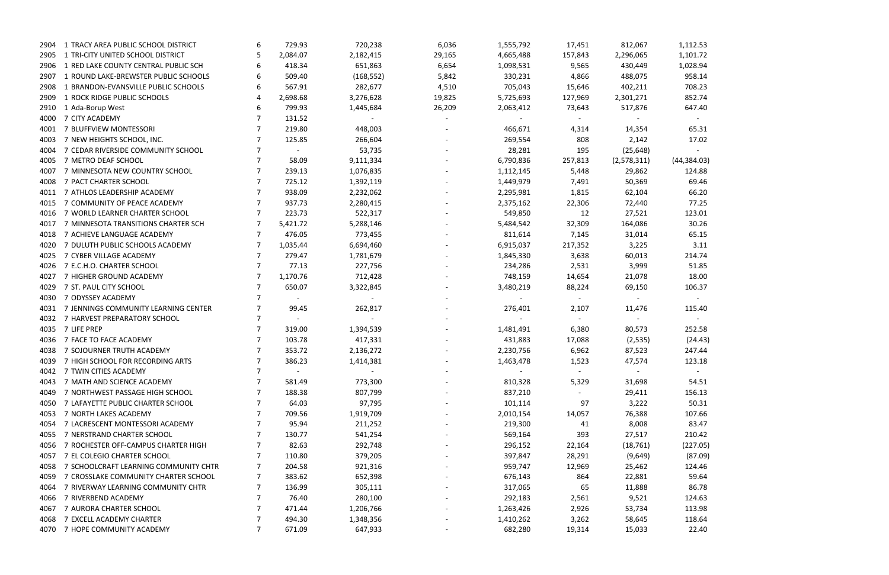|      | 2904 1 TRACY AREA PUBLIC SCHOOL DISTRICT | 6 | 729.93     | 720,238    | 6,036  | 1,555,792 | 17,451     | 812,067     | 1,112.53     |
|------|------------------------------------------|---|------------|------------|--------|-----------|------------|-------------|--------------|
| 2905 | 1 TRI-CITY UNITED SCHOOL DISTRICT        |   | 2,084.07   | 2,182,415  | 29,165 | 4,665,488 | 157,843    | 2,296,065   | 1,101.72     |
| 2906 | 1 RED LAKE COUNTY CENTRAL PUBLIC SCH     | 6 | 418.34     | 651,863    | 6,654  | 1,098,531 | 9,565      | 430,449     | 1,028.94     |
| 2907 | 1 ROUND LAKE-BREWSTER PUBLIC SCHOOLS     |   | 509.40     | (168, 552) | 5,842  | 330,231   | 4,866      | 488,075     | 958.14       |
| 2908 | 1 BRANDON-EVANSVILLE PUBLIC SCHOOLS      | 6 | 567.91     | 282,677    | 4,510  | 705,043   | 15,646     | 402,211     | 708.23       |
| 2909 | 1 ROCK RIDGE PUBLIC SCHOOLS              |   | 2,698.68   | 3,276,628  | 19,825 | 5,725,693 | 127,969    | 2,301,271   | 852.74       |
| 2910 | 1 Ada-Borup West                         |   | 799.93     | 1,445,684  | 26,209 | 2,063,412 | 73,643     | 517,876     | 647.40       |
| 4000 | 7 CITY ACADEMY                           |   | 131.52     |            |        |           |            |             |              |
| 4001 | 7 BLUFFVIEW MONTESSORI                   |   | 219.80     | 448,003    |        | 466,671   | 4,314      | 14,354      | 65.31        |
| 4003 | 7 NEW HEIGHTS SCHOOL, INC.               |   | 125.85     | 266,604    |        | 269,554   | 808        | 2,142       | 17.02        |
| 4004 | 7 CEDAR RIVERSIDE COMMUNITY SCHOOL       |   | $\sim$     | 53,735     |        | 28,281    | 195        | (25, 648)   |              |
| 4005 | 7 METRO DEAF SCHOOL                      |   | 58.09      | 9,111,334  |        | 6,790,836 | 257,813    | (2,578,311) | (44, 384.03) |
| 4007 | 7 MINNESOTA NEW COUNTRY SCHOOL           |   | 239.13     | 1,076,835  |        | 1,112,145 | 5,448      | 29,862      | 124.88       |
| 4008 | 7 PACT CHARTER SCHOOL                    |   | 725.12     | 1,392,119  |        | 1,449,979 | 7,491      | 50,369      | 69.46        |
| 4011 | 7 ATHLOS LEADERSHIP ACADEMY              |   | 938.09     | 2,232,062  |        | 2,295,981 | 1,815      | 62,104      | 66.20        |
| 4015 | 7 COMMUNITY OF PEACE ACADEMY             |   | 937.73     | 2,280,415  |        | 2,375,162 | 22,306     | 72,440      | 77.25        |
| 4016 | 7 WORLD LEARNER CHARTER SCHOOL           |   | 223.73     | 522,317    |        | 549,850   | 12         | 27,521      | 123.01       |
| 4017 | 7 MINNESOTA TRANSITIONS CHARTER SCH      |   | 5,421.72   | 5,288,146  |        | 5,484,542 | 32,309     | 164,086     | 30.26        |
| 4018 | 7 ACHIEVE LANGUAGE ACADEMY               |   | 476.05     | 773,455    |        | 811,614   | 7,145      | 31,014      | 65.15        |
| 4020 | 7 DULUTH PUBLIC SCHOOLS ACADEMY          |   | 1,035.44   | 6,694,460  |        | 6,915,037 | 217,352    | 3,225       | 3.11         |
| 4025 | 7 CYBER VILLAGE ACADEMY                  |   | 279.47     | 1,781,679  |        | 1,845,330 | 3,638      | 60,013      | 214.74       |
| 4026 | 7 E.C.H.O. CHARTER SCHOOL                |   | 77.13      | 227,756    |        | 234,286   | 2,531      | 3,999       | 51.85        |
| 4027 | 7 HIGHER GROUND ACADEMY                  |   | 1,170.76   | 712,428    |        | 748,159   | 14,654     |             | 18.00        |
|      | 7 ST. PAUL CITY SCHOOL                   |   | 650.07     |            |        |           |            | 21,078      |              |
| 4029 | 7 ODYSSEY ACADEMY                        |   | $\sim 100$ | 3,322,845  |        | 3,480,219 | 88,224     | 69,150      | 106.37       |
| 4030 |                                          |   |            | $\sim$     |        | $\sim$    | $\sim$ $-$ | $\sim$      |              |
| 4031 | 7 JENNINGS COMMUNITY LEARNING CENTER     |   | 99.45      | 262,817    |        | 276,401   | 2,107      | 11,476      | 115.40       |
| 4032 | 7 HARVEST PREPARATORY SCHOOL             |   | $\sim$     |            |        |           | $\sim$     |             |              |
| 4035 | 7 LIFE PREP                              |   | 319.00     | 1,394,539  |        | 1,481,491 | 6,380      | 80,573      | 252.58       |
| 4036 | 7 FACE TO FACE ACADEMY                   |   | 103.78     | 417,331    |        | 431,883   | 17,088     | (2,535)     | (24.43)      |
| 4038 | 7 SOJOURNER TRUTH ACADEMY                |   | 353.72     | 2,136,272  |        | 2,230,756 | 6,962      | 87,523      | 247.44       |
|      | 4039 7 HIGH SCHOOL FOR RECORDING ARTS    |   | 386.23     | 1,414,381  |        | 1,463,478 | 1,523      | 47,574      | 123.18       |
| 4042 | 7 TWIN CITIES ACADEMY                    | 7 | $\sim$     |            |        |           | $\sim$     |             |              |
| 4043 | 7 MATH AND SCIENCE ACADEMY               |   | 581.49     | 773,300    |        | 810,328   | 5,329      | 31,698      | 54.51        |
| 4049 | 7 NORTHWEST PASSAGE HIGH SCHOOL          |   | 188.38     | 807,799    |        | 837,210   |            | 29,411      | 156.13       |
| 4050 | 7 LAFAYETTE PUBLIC CHARTER SCHOOL        |   | 64.03      | 97,795     |        | 101,114   | 97         | 3,222       | 50.31        |
| 4053 | 7 NORTH LAKES ACADEMY                    |   | 709.56     | 1,919,709  |        | 2,010,154 | 14,057     | 76,388      | 107.66       |
| 4054 | 7 LACRESCENT MONTESSORI ACADEMY          |   | 95.94      | 211,252    |        | 219,300   | 41         | 8,008       | 83.47        |
| 4055 | 7 NERSTRAND CHARTER SCHOOL               |   | 130.77     | 541,254    |        | 569,164   | 393        | 27,517      | 210.42       |
| 4056 | 7 ROCHESTER OFF-CAMPUS CHARTER HIGH      |   | 82.63      | 292,748    |        | 296,152   | 22,164     | (18, 761)   | (227.05)     |
| 4057 | 7 EL COLEGIO CHARTER SCHOOL              |   | 110.80     | 379,205    |        | 397,847   | 28,291     | (9,649)     | (87.09)      |
| 4058 | 7 SCHOOLCRAFT LEARNING COMMUNITY CHTR    |   | 204.58     | 921,316    |        | 959,747   | 12,969     | 25,462      | 124.46       |
| 4059 | 7 CROSSLAKE COMMUNITY CHARTER SCHOOL     | 7 | 383.62     | 652,398    |        | 676,143   | 864        | 22,881      | 59.64        |
| 4064 | 7 RIVERWAY LEARNING COMMUNITY CHTR       | 7 | 136.99     | 305,111    |        | 317,065   | 65         | 11,888      | 86.78        |
| 4066 | 7 RIVERBEND ACADEMY                      | 7 | 76.40      | 280,100    |        | 292,183   | 2,561      | 9,521       | 124.63       |
| 4067 | 7 AURORA CHARTER SCHOOL                  |   | 471.44     | 1,206,766  |        | 1,263,426 | 2,926      | 53,734      | 113.98       |
| 4068 | 7 EXCELL ACADEMY CHARTER                 |   | 494.30     | 1,348,356  |        | 1,410,262 | 3,262      | 58,645      | 118.64       |
| 4070 | 7 HOPE COMMUNITY ACADEMY                 | 7 | 671.09     | 647,933    |        | 682,280   | 19,314     | 15,033      | 22.40        |

| 1,112.53     |
|--------------|
| 1,101.72     |
| 1,028.94     |
| 958.14       |
| 708.23       |
| 852.74       |
| 647.40       |
|              |
| 65.31        |
| 17.02        |
|              |
| (44, 384.03) |
| 124.88       |
| 69.46        |
| 66.20        |
| 77.25        |
| 123.01       |
| 30.26        |
| 65.15        |
| 3.11         |
| 214.74       |
| 51.85        |
| 18.00        |
| 106.37       |
| 115.40       |
|              |
| 252.58       |
| (24.43)      |
| 247.44       |
| 123.18       |
|              |
| 54.51        |
| 156.13       |
| 50.31        |
| 107.66       |
| 83.47        |
| 210.42       |
| (227.05)     |
| (87.09)      |
| 124.46       |
| 59.64        |
| 86.78        |
| 124.63       |
| 113.98       |
| 118.64       |
| 22.40        |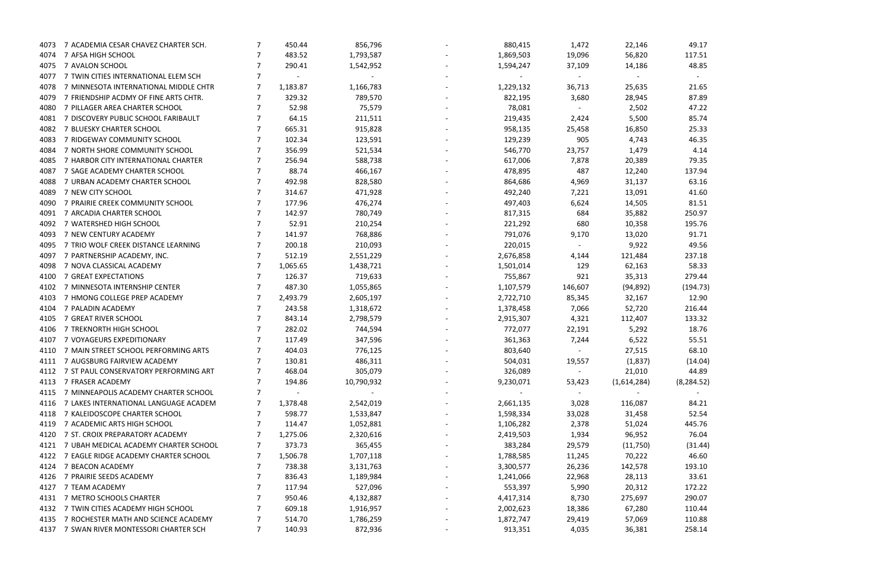|           |  | 49.17           |          |
|-----------|--|-----------------|----------|
|           |  | 117.51          |          |
|           |  | 48.85           |          |
|           |  |                 |          |
|           |  | 21.65           |          |
|           |  | 87.89<br>47.22  |          |
|           |  | 85.74           |          |
|           |  | 25.33           |          |
|           |  | 46.35           |          |
|           |  | 4.14            |          |
|           |  | 79.35           |          |
|           |  | 137.94          |          |
|           |  | 63.16           |          |
|           |  | 41.60           |          |
|           |  | 81.51           |          |
|           |  | 250.97          |          |
|           |  | 195.76          |          |
|           |  | 91.71           |          |
|           |  | 49.56           |          |
|           |  | 237.18          |          |
|           |  | 58.33<br>279.44 |          |
|           |  |                 | (194.73) |
|           |  | 12.90           |          |
|           |  | 216.44          |          |
|           |  | 133.32          |          |
|           |  | 18.76           |          |
|           |  | 55.51           |          |
|           |  | 68.10           |          |
|           |  |                 | (14.04)  |
|           |  | 44.89           |          |
| 8,284.52) |  |                 |          |
|           |  |                 |          |
|           |  | 84.21           |          |
|           |  | 52.54<br>445.76 |          |
|           |  | 76.04           |          |
|           |  |                 | (31.44)  |
|           |  | 46.60           |          |
|           |  | 193.10          |          |
|           |  | 33.61           |          |
|           |  | 172.22          |          |
|           |  | 290.07          |          |
|           |  | 110.44          |          |
|           |  | 110.88          |          |
|           |  |                 |          |

| 4073 | 7 ACADEMIA CESAR CHAVEZ CHARTER SCH.       |   | 450.44                   | 856,796                  | 880,415   | 1,472   | 22,146      | 49.17            |
|------|--------------------------------------------|---|--------------------------|--------------------------|-----------|---------|-------------|------------------|
| 4074 | 7 AFSA HIGH SCHOOL                         |   | 483.52                   | 1,793,587                | 1,869,503 | 19,096  | 56,820      | 117.51           |
| 4075 | 7 AVALON SCHOOL                            |   | 290.41                   | 1,542,952                | 1,594,247 | 37,109  | 14,186      | 48.85            |
| 4077 | 7 TWIN CITIES INTERNATIONAL ELEM SCH       |   | $\overline{\phantom{a}}$ | $\overline{\phantom{a}}$ |           | $\sim$  | $\sim$      |                  |
| 4078 | 7 MINNESOTA INTERNATIONAL MIDDLE CHTR      |   | 1,183.87                 | 1,166,783                | 1,229,132 | 36,713  | 25,635      | 21.65            |
| 4079 | 7 FRIENDSHIP ACDMY OF FINE ARTS CHTR.      | 7 | 329.32                   | 789,570                  | 822,195   | 3,680   | 28,945      | 87.89            |
| 4080 | 7 PILLAGER AREA CHARTER SCHOOL             |   | 52.98                    | 75,579                   | 78,081    |         | 2,502       | 47.22            |
| 4081 | 7 DISCOVERY PUBLIC SCHOOL FARIBAULT        |   | 64.15                    | 211,511                  | 219,435   | 2,424   | 5,500       | 85.74            |
| 4082 | 7 BLUESKY CHARTER SCHOOL                   |   | 665.31                   | 915,828                  | 958,135   | 25,458  | 16,850      | 25.33            |
| 4083 | 7 RIDGEWAY COMMUNITY SCHOOL                |   | 102.34                   | 123,591                  | 129,239   | 905     | 4,743       | 46.35            |
| 4084 | 7 NORTH SHORE COMMUNITY SCHOOL             |   | 356.99                   | 521,534                  | 546,770   | 23,757  | 1,479       | 4.14             |
| 4085 | 7 HARBOR CITY INTERNATIONAL CHARTER        |   | 256.94                   | 588,738                  | 617,006   | 7,878   | 20,389      | 79.35            |
| 4087 | 7 SAGE ACADEMY CHARTER SCHOOL              |   | 88.74                    | 466,167                  | 478,895   | 487     | 12,240      | 137.94           |
| 4088 | 7 URBAN ACADEMY CHARTER SCHOOL             |   | 492.98                   | 828,580                  | 864,686   | 4,969   | 31,137      | 63.16            |
| 4089 | 7 NEW CITY SCHOOL                          |   | 314.67                   | 471,928                  | 492,240   | 7,221   | 13,091      | 41.60            |
| 4090 | 7 PRAIRIE CREEK COMMUNITY SCHOOL           |   | 177.96                   | 476,274                  | 497,403   | 6,624   | 14,505      | 81.51            |
| 4091 | 7 ARCADIA CHARTER SCHOOL                   |   | 142.97                   | 780,749                  | 817,315   | 684     | 35,882      | 250.97           |
| 4092 | 7 WATERSHED HIGH SCHOOL                    |   | 52.91                    | 210,254                  | 221,292   | 680     | 10,358      | 195.76           |
| 4093 | 7 NEW CENTURY ACADEMY                      |   | 141.97                   | 768,886                  | 791,076   | 9,170   | 13,020      | 91.71            |
| 4095 | 7 TRIO WOLF CREEK DISTANCE LEARNING        |   | 200.18                   | 210,093                  | 220,015   | $\sim$  | 9,922       | 49.56            |
| 4097 | 7 PARTNERSHIP ACADEMY, INC.                |   | 512.19                   | 2,551,229                | 2,676,858 | 4,144   | 121,484     | 237.18           |
| 4098 | 7 NOVA CLASSICAL ACADEMY                   |   | 1,065.65                 | 1,438,721                | 1,501,014 | 129     | 62,163      | 58.33            |
| 4100 | 7 GREAT EXPECTATIONS                       |   | 126.37                   | 719,633                  | 755,867   | 921     | 35,313      | 279.44           |
| 4102 | 7 MINNESOTA INTERNSHIP CENTER              |   | 487.30                   | 1,055,865                | 1,107,579 | 146,607 | (94, 892)   | (194.73)         |
| 4103 | 7 HMONG COLLEGE PREP ACADEMY               |   | 2,493.79                 | 2,605,197                | 2,722,710 | 85,345  | 32,167      | 12.90            |
| 4104 | 7 PALADIN ACADEMY                          |   | 243.58                   | 1,318,672                | 1,378,458 | 7,066   | 52,720      | 216.44           |
| 4105 | 7 GREAT RIVER SCHOOL                       |   | 843.14                   | 2,798,579                | 2,915,307 | 4,321   | 112,407     | 133.32           |
| 4106 | 7 TREKNORTH HIGH SCHOOL                    |   | 282.02                   | 744,594                  | 772,077   | 22,191  | 5,292       | 18.76            |
| 4107 | 7 VOYAGEURS EXPEDITIONARY                  |   | 117.49                   | 347,596                  | 361,363   | 7,244   | 6,522       | 55.51            |
| 4110 | 7 MAIN STREET SCHOOL PERFORMING ARTS       |   | 404.03                   | 776,125                  | 803,640   | $\sim$  | 27,515      | 68.10            |
|      | 4111 7 AUGSBURG FAIRVIEW ACADEMY           |   | 130.81                   | 486,311                  | 504,031   | 19,557  | (1,837)     | (14.04)          |
| 4112 | 7 ST PAUL CONSERVATORY PERFORMING ART      |   | 468.04                   | 305,079                  | 326,089   | $\sim$  | 21,010      | 44.89            |
| 4113 | 7 FRASER ACADEMY                           |   | 194.86                   | 10,790,932               | 9,230,071 | 53,423  | (1,614,284) | (8, 284.52)      |
| 4115 | 7 MINNEAPOLIS ACADEMY CHARTER SCHOOL       |   | $\sim$                   | $\sim$                   |           | $\sim$  |             | $\sim$ 100 $\mu$ |
| 4116 | 7 LAKES INTERNATIONAL LANGUAGE ACADEM      |   | 1,378.48                 | 2,542,019                | 2,661,135 | 3,028   | 116,087     | 84.21            |
| 4118 | 7 KALEIDOSCOPE CHARTER SCHOOL              |   | 598.77                   | 1,533,847                | 1,598,334 | 33,028  | 31,458      | 52.54            |
| 4119 | 7 ACADEMIC ARTS HIGH SCHOOL                |   | 114.47                   | 1,052,881                | 1,106,282 | 2,378   | 51,024      | 445.76           |
| 4120 | 7 ST. CROIX PREPARATORY ACADEMY            |   | 1,275.06                 | 2,320,616                | 2,419,503 | 1,934   | 96,952      | 76.04            |
|      | 4121 7 UBAH MEDICAL ACADEMY CHARTER SCHOOL |   | 373.73                   | 365,455                  | 383,284   | 29,579  | (11,750)    | (31.44)          |
|      | 4122 7 EAGLE RIDGE ACADEMY CHARTER SCHOOL  |   | 1,506.78                 | 1,707,118                | 1,788,585 | 11,245  | 70,222      | 46.60            |
|      | 4124 7 BEACON ACADEMY                      |   | 738.38                   | 3,131,763                | 3,300,577 | 26,236  | 142,578     | 193.10           |
| 4126 | 7 PRAIRIE SEEDS ACADEMY                    |   | 836.43                   | 1,189,984                | 1,241,066 | 22,968  | 28,113      | 33.61            |
| 4127 | 7 TEAM ACADEMY                             |   | 117.94                   | 527,096                  | 553,397   | 5,990   | 20,312      | 172.22           |
| 4131 | 7 METRO SCHOOLS CHARTER                    |   | 950.46                   | 4,132,887                | 4,417,314 | 8,730   | 275,697     | 290.07           |
| 4132 | 7 TWIN CITIES ACADEMY HIGH SCHOOL          |   | 609.18                   | 1,916,957                | 2,002,623 | 18,386  | 67,280      | 110.44           |
|      | 4135 7 ROCHESTER MATH AND SCIENCE ACADEMY  |   | 514.70                   | 1,786,259                | 1,872,747 | 29,419  | 57,069      | 110.88           |
|      | 4137 7 SWAN RIVER MONTESSORI CHARTER SCH   | 7 | 140.93                   | 872,936                  | 913,351   | 4,035   | 36,381      | 258.14           |
|      |                                            |   |                          |                          |           |         |             |                  |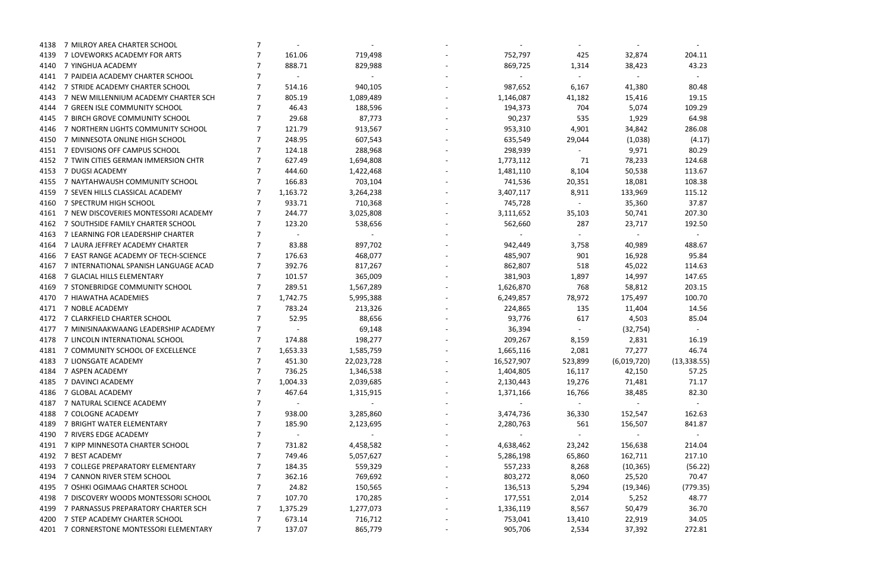|            |  |     | 204.11<br>43.23                                                                                                           |                     |  |
|------------|--|-----|---------------------------------------------------------------------------------------------------------------------------|---------------------|--|
|            |  |     | 80.48<br>19.15<br>109.29<br>64.98<br>286.08<br>80.29<br>124.68<br>113.67<br>108.38<br>115.12<br>37.87<br>207.30<br>192.50 | (4.17)              |  |
|            |  |     | 488.67<br>95.84<br>114.63<br>147.65<br>203.15<br>100.70<br>14.56<br>85.04                                                 |                     |  |
| 13,338.55) |  |     | 16.19<br>46.74<br>57.25<br>71.17<br>82.30                                                                                 |                     |  |
|            |  |     | 162.63<br>841.87                                                                                                          |                     |  |
|            |  |     | 214.04<br>217.10<br>70.47<br>48.77<br>36.70<br>34.05                                                                      | (56.22)<br>(779.35) |  |
|            |  | 72c |                                                                                                                           |                     |  |

| 4138 | 7 MILROY AREA CHARTER SCHOOL             |   |            |            |            |         |             |              |
|------|------------------------------------------|---|------------|------------|------------|---------|-------------|--------------|
| 4139 | 7 LOVEWORKS ACADEMY FOR ARTS             |   | 161.06     | 719,498    | 752,797    | 425     | 32,874      | 204.11       |
| 4140 | 7 YINGHUA ACADEMY                        |   | 888.71     | 829,988    | 869,725    | 1,314   | 38,423      | 43.23        |
| 4141 | 7 PAIDEIA ACADEMY CHARTER SCHOOL         |   | $\sim$ $-$ |            |            |         |             |              |
| 4142 | 7 STRIDE ACADEMY CHARTER SCHOOL          |   | 514.16     | 940,105    | 987,652    | 6,167   | 41,380      | 80.48        |
| 4143 | 7 NEW MILLENNIUM ACADEMY CHARTER SCH     |   | 805.19     | 1,089,489  | 1,146,087  | 41,182  | 15,416      | 19.15        |
| 4144 | 7 GREEN ISLE COMMUNITY SCHOOL            |   | 46.43      | 188,596    | 194,373    | 704     | 5,074       | 109.29       |
| 4145 | 7 BIRCH GROVE COMMUNITY SCHOOL           |   | 29.68      | 87,773     | 90,237     | 535     | 1,929       | 64.98        |
| 4146 | 7 NORTHERN LIGHTS COMMUNITY SCHOOL       |   | 121.79     | 913,567    | 953,310    | 4,901   | 34,842      | 286.08       |
| 4150 | 7 MINNESOTA ONLINE HIGH SCHOOL           |   | 248.95     | 607,543    | 635,549    | 29,044  | (1,038)     | (4.17)       |
| 4151 | 7 EDVISIONS OFF CAMPUS SCHOOL            |   | 124.18     | 288,968    | 298,939    |         | 9,971       | 80.29        |
| 4152 | 7 TWIN CITIES GERMAN IMMERSION CHTR      |   | 627.49     | 1,694,808  | 1,773,112  | -71     | 78,233      | 124.68       |
| 4153 | 7 DUGSI ACADEMY                          |   | 444.60     | 1,422,468  | 1,481,110  | 8,104   | 50,538      | 113.67       |
| 4155 | 7 NAYTAHWAUSH COMMUNITY SCHOOL           |   | 166.83     | 703,104    | 741,536    | 20,351  | 18,081      | 108.38       |
| 4159 | 7 SEVEN HILLS CLASSICAL ACADEMY          |   | 1,163.72   | 3,264,238  | 3,407,117  | 8,911   | 133,969     | 115.12       |
| 4160 | 7 SPECTRUM HIGH SCHOOL                   |   | 933.71     | 710,368    | 745,728    |         | 35,360      | 37.87        |
| 4161 | 7 NEW DISCOVERIES MONTESSORI ACADEMY     |   | 244.77     | 3,025,808  | 3,111,652  | 35,103  | 50,741      | 207.30       |
| 4162 | 7 SOUTHSIDE FAMILY CHARTER SCHOOL        |   | 123.20     | 538,656    | 562,660    | 287     | 23,717      | 192.50       |
| 4163 | 7 LEARNING FOR LEADERSHIP CHARTER        |   | $\sim$     |            |            |         |             |              |
| 4164 | 7 LAURA JEFFREY ACADEMY CHARTER          |   | 83.88      | 897,702    | 942,449    | 3,758   | 40,989      | 488.67       |
| 4166 | 7 EAST RANGE ACADEMY OF TECH-SCIENCE     |   | 176.63     | 468,077    | 485,907    | 901     | 16,928      | 95.84        |
| 4167 | 7 INTERNATIONAL SPANISH LANGUAGE ACAD    |   | 392.76     | 817,267    | 862,807    | 518     | 45,022      | 114.63       |
| 4168 | 7 GLACIAL HILLS ELEMENTARY               |   | 101.57     | 365,009    | 381,903    | 1,897   | 14,997      | 147.65       |
| 4169 | 7 STONEBRIDGE COMMUNITY SCHOOL           |   | 289.51     | 1,567,289  | 1,626,870  | 768     | 58,812      | 203.15       |
| 4170 | 7 HIAWATHA ACADEMIES                     |   | 1,742.75   | 5,995,388  | 6,249,857  | 78,972  | 175,497     | 100.70       |
| 4171 | 7 NOBLE ACADEMY                          |   | 783.24     | 213,326    | 224,865    | 135     | 11,404      | 14.56        |
| 4172 | 7 CLARKFIELD CHARTER SCHOOL              |   | 52.95      | 88,656     | 93,776     | 617     | 4,503       | 85.04        |
| 4177 | 7 MINISINAAKWAANG LEADERSHIP ACADEMY     |   | $\sim$ $-$ | 69,148     | 36,394     |         | (32, 754)   |              |
| 4178 | 7 LINCOLN INTERNATIONAL SCHOOL           |   | 174.88     | 198,277    | 209,267    | 8,159   | 2,831       | 16.19        |
| 4181 | 7 COMMUNITY SCHOOL OF EXCELLENCE         |   | 1,653.33   | 1,585,759  | 1,665,116  | 2,081   | 77,277      | 46.74        |
|      | 4183 7 LIONSGATE ACADEMY                 |   | 451.30     | 22,023,728 | 16,527,907 | 523,899 | (6,019,720) | (13, 338.55) |
| 4184 | 7 ASPEN ACADEMY                          | 7 | 736.25     | 1,346,538  | 1,404,805  | 16,117  | 42,150      | 57.25        |
| 4185 | 7 DAVINCI ACADEMY                        |   | 1,004.33   | 2,039,685  | 2,130,443  | 19,276  | 71,481      | 71.17        |
| 4186 | 7 GLOBAL ACADEMY                         |   | 467.64     | 1,315,915  | 1,371,166  | 16,766  | 38,485      | 82.30        |
| 4187 | 7 NATURAL SCIENCE ACADEMY                |   |            |            |            |         |             |              |
| 4188 | 7 COLOGNE ACADEMY                        |   | 938.00     | 3,285,860  | 3,474,736  | 36,330  | 152,547     | 162.63       |
| 4189 | 7 BRIGHT WATER ELEMENTARY                |   | 185.90     | 2,123,695  | 2,280,763  | 561     | 156,507     | 841.87       |
| 4190 | 7 RIVERS EDGE ACADEMY                    |   | $\sim$     |            |            | $\sim$  |             |              |
| 4191 | 7 KIPP MINNESOTA CHARTER SCHOOL          |   | 731.82     | 4,458,582  | 4,638,462  | 23,242  | 156,638     | 214.04       |
|      | 4192 7 BEST ACADEMY                      |   | 749.46     | 5,057,627  | 5,286,198  | 65,860  | 162,711     | 217.10       |
| 4193 | 7 COLLEGE PREPARATORY ELEMENTARY         |   | 184.35     | 559,329    | 557,233    | 8,268   | (10, 365)   | (56.22)      |
| 4194 | 7 CANNON RIVER STEM SCHOOL               |   | 362.16     | 769,692    | 803,272    | 8,060   | 25,520      | 70.47        |
| 4195 | 7 OSHKI OGIMAAG CHARTER SCHOOL           |   | 24.82      | 150,565    | 136,513    | 5,294   | (19, 346)   | (779.35)     |
| 4198 | 7 DISCOVERY WOODS MONTESSORI SCHOOL      |   | 107.70     | 170,285    | 177,551    | 2,014   | 5,252       | 48.77        |
| 4199 | 7 PARNASSUS PREPARATORY CHARTER SCH      |   | 1,375.29   | 1,277,073  | 1,336,119  | 8,567   | 50,479      | 36.70        |
| 4200 | 7 STEP ACADEMY CHARTER SCHOOL            |   | 673.14     | 716,712    | 753,041    | 13,410  | 22,919      | 34.05        |
|      | 4201 7 CORNERSTONE MONTESSORI ELEMENTARY | 7 | 137.07     | 865,779    | 905,706    | 2,534   | 37,392      | 272.81       |
|      |                                          |   |            |            |            |         |             |              |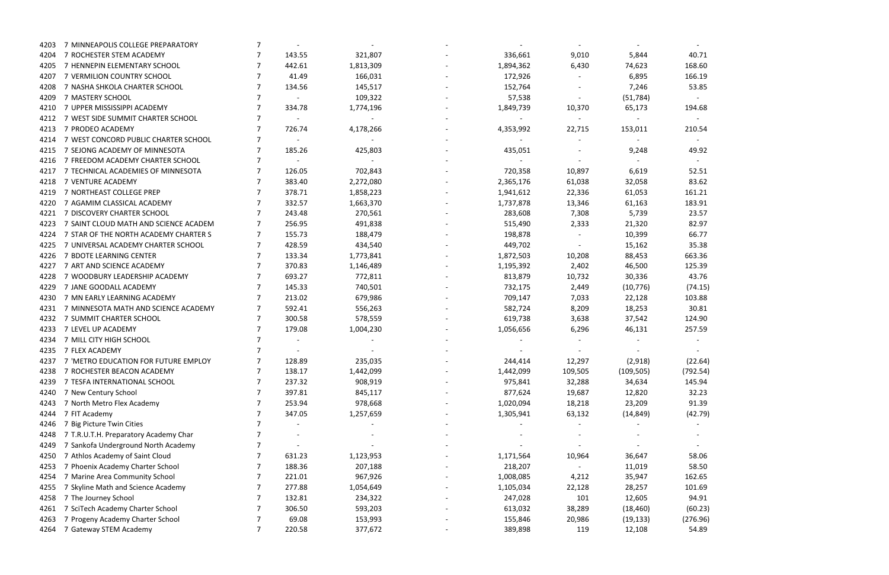- 166.19 - -<br>210.54  $\sim$ 49.92 -<br>52.51 66.77 35.38<br>663.36  $(74.15)$ 257.59 - -  $(22.64)$  $(792.54)$ 145.94<br>32.23  $(42.79)$ - - - 58.50<br>162.65  $(60.23)$  $(276.96)$ 

| 4203 | 7 MINNEAPOLIS COLLEGE PREPARATORY         |   |                 |           | $\sim$    |         | $\sim$     |          |
|------|-------------------------------------------|---|-----------------|-----------|-----------|---------|------------|----------|
| 4204 | 7 ROCHESTER STEM ACADEMY                  |   | 143.55          | 321,807   | 336,661   | 9,010   | 5,844      | 40.71    |
| 4205 | 7 HENNEPIN ELEMENTARY SCHOOL              |   | 442.61          | 1,813,309 | 1,894,362 | 6,430   | 74,623     | 168.60   |
| 4207 | 7 VERMILION COUNTRY SCHOOL                |   | 41.49           | 166,031   | 172,926   |         | 6,895      | 166.19   |
| 4208 | 7 NASHA SHKOLA CHARTER SCHOOL             |   | 134.56          | 145,517   | 152,764   |         | 7,246      | 53.85    |
| 4209 | 7 MASTERY SCHOOL                          |   | $\sim$          | 109,322   | 57,538    |         | (51, 784)  |          |
| 4210 | 7 UPPER MISSISSIPPI ACADEMY               |   | 334.78          | 1,774,196 | 1,849,739 | 10,370  | 65,173     | 194.68   |
| 4212 | 7 WEST SIDE SUMMIT CHARTER SCHOOL         |   | $\sim$ $-$      | $\sim$    | $\sim$    | $\sim$  | $\sim$     |          |
| 4213 | 7 PRODEO ACADEMY                          |   | 726.74          | 4,178,266 | 4,353,992 | 22,715  | 153,011    | 210.54   |
| 4214 | 7 WEST CONCORD PUBLIC CHARTER SCHOOL      |   | $\sim$          | $\sim$    |           |         | $\sim$     |          |
| 4215 | 7 SEJONG ACADEMY OF MINNESOTA             |   | 185.26          | 425,803   | 435,051   |         | 9,248      | 49.92    |
| 4216 | 7 FREEDOM ACADEMY CHARTER SCHOOL          |   | $\sim$ $-$      | $\sim$    | $\sim$    |         | $\sim$ $-$ |          |
| 4217 | 7 TECHNICAL ACADEMIES OF MINNESOTA        |   | 126.05          | 702,843   | 720,358   | 10,897  | 6,619      | 52.51    |
| 4218 | 7 VENTURE ACADEMY                         |   | 383.40          | 2,272,080 | 2,365,176 | 61,038  | 32,058     | 83.62    |
| 4219 | 7 NORTHEAST COLLEGE PREP                  |   | 378.71          | 1,858,223 | 1,941,612 | 22,336  | 61,053     | 161.21   |
| 4220 | 7 AGAMIM CLASSICAL ACADEMY                |   | 332.57          | 1,663,370 | 1,737,878 | 13,346  | 61,163     | 183.91   |
| 4221 | 7 DISCOVERY CHARTER SCHOOL                |   | 243.48          | 270,561   | 283,608   | 7,308   | 5,739      | 23.57    |
| 4223 | 7 SAINT CLOUD MATH AND SCIENCE ACADEM     |   | 256.95          | 491,838   | 515,490   | 2,333   | 21,320     | 82.97    |
| 4224 | 7 STAR OF THE NORTH ACADEMY CHARTER S     |   | 155.73          | 188,479   | 198,878   |         | 10,399     | 66.77    |
| 4225 | 7 UNIVERSAL ACADEMY CHARTER SCHOOL        |   | 428.59          | 434,540   | 449,702   |         | 15,162     | 35.38    |
| 4226 | 7 BDOTE LEARNING CENTER                   |   | 133.34          | 1,773,841 | 1,872,503 | 10,208  | 88,453     | 663.36   |
| 4227 | 7 ART AND SCIENCE ACADEMY                 |   | 370.83          | 1,146,489 | 1,195,392 | 2,402   | 46,500     | 125.39   |
| 4228 | 7 WOODBURY LEADERSHIP ACADEMY             |   | 693.27          | 772,811   | 813,879   | 10,732  | 30,336     | 43.76    |
| 4229 | 7 JANE GOODALL ACADEMY                    |   | 145.33          | 740,501   | 732,175   | 2,449   | (10, 776)  | (74.15   |
| 4230 | 7 MN EARLY LEARNING ACADEMY               |   | 213.02          | 679,986   | 709,147   | 7,033   | 22,128     | 103.88   |
| 4231 | 7 MINNESOTA MATH AND SCIENCE ACADEMY      |   | 592.41          | 556,263   | 582,724   | 8,209   | 18,253     | 30.81    |
| 4232 | 7 SUMMIT CHARTER SCHOOL                   |   | 300.58          | 578,559   | 619,738   | 3,638   | 37,542     | 124.90   |
| 4233 | 7 LEVEL UP ACADEMY                        |   | 179.08          | 1,004,230 | 1,056,656 | 6,296   | 46,131     | 257.59   |
| 4234 | 7 MILL CITY HIGH SCHOOL                   |   |                 |           |           |         |            |          |
| 4235 | 7 FLEX ACADEMY                            |   |                 |           |           |         |            |          |
|      | 4237 7 'METRO EDUCATION FOR FUTURE EMPLOY |   | 128.89          | 235,035   | 244,414   | 12,297  | (2,918)    | (22.64)  |
| 4238 | 7 ROCHESTER BEACON ACADEMY                | 7 | 138.17          | 1,442,099 | 1,442,099 | 109,505 | (109, 505) | (792.54) |
| 4239 | 7 TESFA INTERNATIONAL SCHOOL              |   | 237.32          | 908,919   | 975,841   | 32,288  | 34,634     | 145.94   |
| 4240 | 7 New Century School                      |   | 397.81          | 845,117   | 877,624   | 19,687  | 12,820     | 32.23    |
| 4243 | 7 North Metro Flex Academy                |   | 253.94          | 978,668   | 1,020,094 | 18,218  | 23,209     | 91.39    |
| 4244 | 7 FIT Academy                             |   | 347.05          | 1,257,659 | 1,305,941 | 63,132  | (14, 849)  | (42.79   |
| 4246 | 7 Big Picture Twin Cities                 |   |                 |           |           |         |            |          |
| 4248 | 7 T.R.U.T.H. Preparatory Academy Char     |   |                 |           |           |         |            |          |
| 4249 | 7 Sankofa Underground North Academy       |   |                 |           |           |         |            |          |
| 4250 | 7 Athlos Academy of Saint Cloud           |   | 631.23          | 1,123,953 | 1,171,564 | 10,964  | 36,647     | 58.06    |
| 4253 | 7 Phoenix Academy Charter School          |   | 188.36          | 207,188   | 218,207   |         | 11,019     | 58.50    |
| 4254 | 7 Marine Area Community School            |   | 221.01          | 967,926   | 1,008,085 |         | 35,947     | 162.65   |
|      |                                           |   |                 |           |           | 4,212   |            | 101.69   |
| 4255 | 7 Skyline Math and Science Academy        |   | 277.88          | 1,054,649 | 1,105,034 | 22,128  | 28,257     |          |
| 4258 | 7 The Journey School                      |   | 132.81          | 234,322   | 247,028   | 101     | 12,605     | 94.91    |
| 4261 | 7 SciTech Academy Charter School          |   | 306.50<br>69.08 | 593,203   | 613,032   | 38,289  | (18, 460)  | (60.23)  |
| 4263 | 7 Progeny Academy Charter School          |   |                 | 153,993   | 155,846   | 20,986  | (19, 133)  | (276.96) |
| 4264 | 7 Gateway STEM Academy                    | 7 | 220.58          | 377,672   | 389,898   | 119     | 12,108     | 54.89    |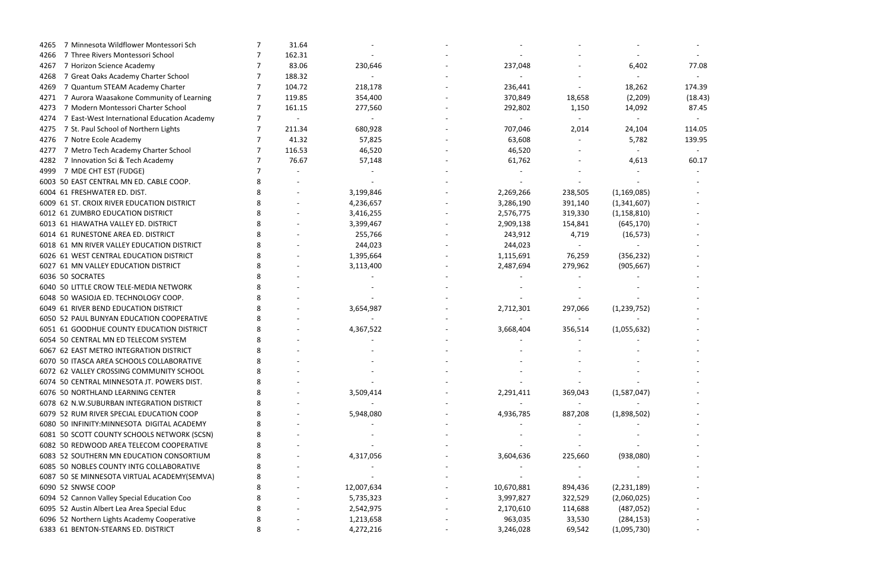| 7 Minnesota Wildflower Montessori Sch<br>4265       | 31.64  |            |            |         |               |         |
|-----------------------------------------------------|--------|------------|------------|---------|---------------|---------|
| 7 Three Rivers Montessori School<br>4266            | 162.31 |            |            |         |               |         |
| 7 Horizon Science Academy<br>4267                   | 83.06  | 230,646    | 237,048    |         | 6,402         | 77.08   |
| 7 Great Oaks Academy Charter School<br>4268         | 188.32 |            |            |         |               |         |
| 7 Quantum STEAM Academy Charter<br>4269             | 104.72 | 218,178    | 236,441    |         | 18,262        | 174.39  |
| 7 Aurora Waasakone Community of Learning<br>4271    | 119.85 | 354,400    | 370,849    | 18,658  | (2,209)       | (18.43) |
| 7 Modern Montessori Charter School<br>4273          | 161.15 | 277,560    | 292,802    | 1,150   | 14,092        | 87.45   |
| 7 East-West International Education Academy<br>4274 |        |            |            |         |               |         |
| 7 St. Paul School of Northern Lights<br>4275        | 211.34 | 680,928    | 707,046    | 2,014   | 24,104        | 114.05  |
| 7 Notre Ecole Academy<br>4276                       | 41.32  | 57,825     | 63,608     |         | 5,782         | 139.95  |
| 7 Metro Tech Academy Charter School<br>4277         | 116.53 | 46,520     | 46,520     |         |               |         |
| 7 Innovation Sci & Tech Academy<br>4282             | 76.67  | 57,148     | 61,762     |         | 4,613         | 60.17   |
| 7 MDE CHT EST (FUDGE)<br>4999                       |        |            |            |         |               |         |
| 6003 50 EAST CENTRAL MN ED. CABLE COOP.             |        |            |            |         |               |         |
| 6004 61 FRESHWATER ED. DIST.                        |        | 3,199,846  | 2,269,266  | 238,505 | (1, 169, 085) |         |
| 6009 61 ST. CROIX RIVER EDUCATION DISTRICT          |        | 4,236,657  | 3,286,190  | 391,140 | (1,341,607)   |         |
| 6012 61 ZUMBRO EDUCATION DISTRICT                   |        | 3,416,255  | 2,576,775  | 319,330 | (1, 158, 810) |         |
| 6013 61 HIAWATHA VALLEY ED. DISTRICT                |        | 3,399,467  | 2,909,138  | 154,841 | (645, 170)    |         |
| 6014 61 RUNESTONE AREA ED. DISTRICT                 |        | 255,766    | 243,912    | 4,719   | (16, 573)     |         |
| 6018 61 MN RIVER VALLEY EDUCATION DISTRICT          |        | 244,023    | 244,023    |         |               |         |
| 6026 61 WEST CENTRAL EDUCATION DISTRICT             |        | 1,395,664  | 1,115,691  | 76,259  | (356, 232)    |         |
| 6027 61 MN VALLEY EDUCATION DISTRICT                |        | 3,113,400  | 2,487,694  | 279,962 | (905, 667)    |         |
| 6036 50 SOCRATES                                    |        |            |            |         |               |         |
| 6040 50 LITTLE CROW TELE-MEDIA NETWORK              |        |            |            |         |               |         |
| 6048 50 WASIOJA ED. TECHNOLOGY COOP.                |        |            |            |         |               |         |
| 6049 61 RIVER BEND EDUCATION DISTRICT               |        | 3,654,987  | 2,712,301  | 297,066 | (1, 239, 752) |         |
| 6050 52 PAUL BUNYAN EDUCATION COOPERATIVE           |        |            |            |         |               |         |
| 6051 61 GOODHUE COUNTY EDUCATION DISTRICT           |        | 4,367,522  | 3,668,404  | 356,514 | (1,055,632)   |         |
| 6054 50 CENTRAL MN ED TELECOM SYSTEM                |        |            |            |         |               |         |
| 6067 62 EAST METRO INTEGRATION DISTRICT             |        |            |            |         |               |         |
| 6070 50 ITASCA AREA SCHOOLS COLLABORATIVE           |        |            |            |         |               |         |
| 6072 62 VALLEY CROSSING COMMUNITY SCHOOL            |        |            |            |         |               |         |
| 6074 50 CENTRAL MINNESOTA JT. POWERS DIST.          |        |            |            |         |               |         |
| 6076 50 NORTHLAND LEARNING CENTER                   |        | 3,509,414  | 2,291,411  | 369,043 | (1,587,047)   |         |
| 6078 62 N.W.SUBURBAN INTEGRATION DISTRICT           |        |            |            |         |               |         |
| 6079 52 RUM RIVER SPECIAL EDUCATION COOP            |        | 5,948,080  | 4,936,785  | 887,208 | (1,898,502)   |         |
| 6080 50 INFINITY: MINNESOTA DIGITAL ACADEMY         |        |            |            |         |               |         |
| 6081 50 SCOTT COUNTY SCHOOLS NETWORK (SCSN)         |        |            |            |         |               |         |
| 6082 50 REDWOOD AREA TELECOM COOPERATIVE            |        |            |            |         |               |         |
| 6083 52 SOUTHERN MN EDUCATION CONSORTIUM            |        | 4,317,056  | 3,604,636  | 225,660 | (938,080)     |         |
| 6085 50 NOBLES COUNTY INTG COLLABORATIVE            |        |            |            |         |               |         |
| 6087 50 SE MINNESOTA VIRTUAL ACADEMY(SEMVA)         |        |            |            |         |               |         |
| 6090 52 SNWSE COOP                                  |        | 12,007,634 | 10,670,881 | 894,436 | (2, 231, 189) |         |
| 6094 52 Cannon Valley Special Education Coo         |        | 5,735,323  | 3,997,827  | 322,529 | (2,060,025)   |         |
| 6095 52 Austin Albert Lea Area Special Educ         |        | 2,542,975  | 2,170,610  | 114,688 | (487, 052)    |         |
| 6096 52 Northern Lights Academy Cooperative         |        | 1,213,658  | 963,035    | 33,530  | (284, 153)    |         |
| 6383 61 BENTON-STEARNS ED. DISTRICT                 |        | 4,272,216  | 3,246,028  | 69,542  | (1,095,730)   |         |
|                                                     |        |            |            |         |               |         |

|  | 77.08          |         |  |  |
|--|----------------|---------|--|--|
|  | 174.39         |         |  |  |
|  |                | (18.43) |  |  |
|  | 87.45          |         |  |  |
|  |                |         |  |  |
|  | L14.05         |         |  |  |
|  | 139.95         |         |  |  |
|  |                |         |  |  |
|  | 60.17          |         |  |  |
|  |                |         |  |  |
|  | $\overline{a}$ |         |  |  |
|  |                |         |  |  |
|  |                |         |  |  |
|  |                |         |  |  |
|  |                |         |  |  |
|  | -              |         |  |  |
|  |                |         |  |  |
|  | $\overline{a}$ |         |  |  |
|  |                |         |  |  |
|  |                |         |  |  |
|  |                |         |  |  |
|  |                |         |  |  |
|  | -              |         |  |  |
|  |                |         |  |  |
|  |                |         |  |  |
|  |                |         |  |  |
|  |                |         |  |  |
|  |                |         |  |  |
|  |                |         |  |  |
|  |                |         |  |  |
|  |                |         |  |  |
|  |                |         |  |  |
|  |                |         |  |  |
|  |                |         |  |  |
|  |                |         |  |  |
|  |                |         |  |  |
|  |                |         |  |  |
|  |                |         |  |  |
|  |                |         |  |  |
|  |                |         |  |  |
|  |                |         |  |  |
|  |                |         |  |  |
|  |                |         |  |  |
|  |                |         |  |  |